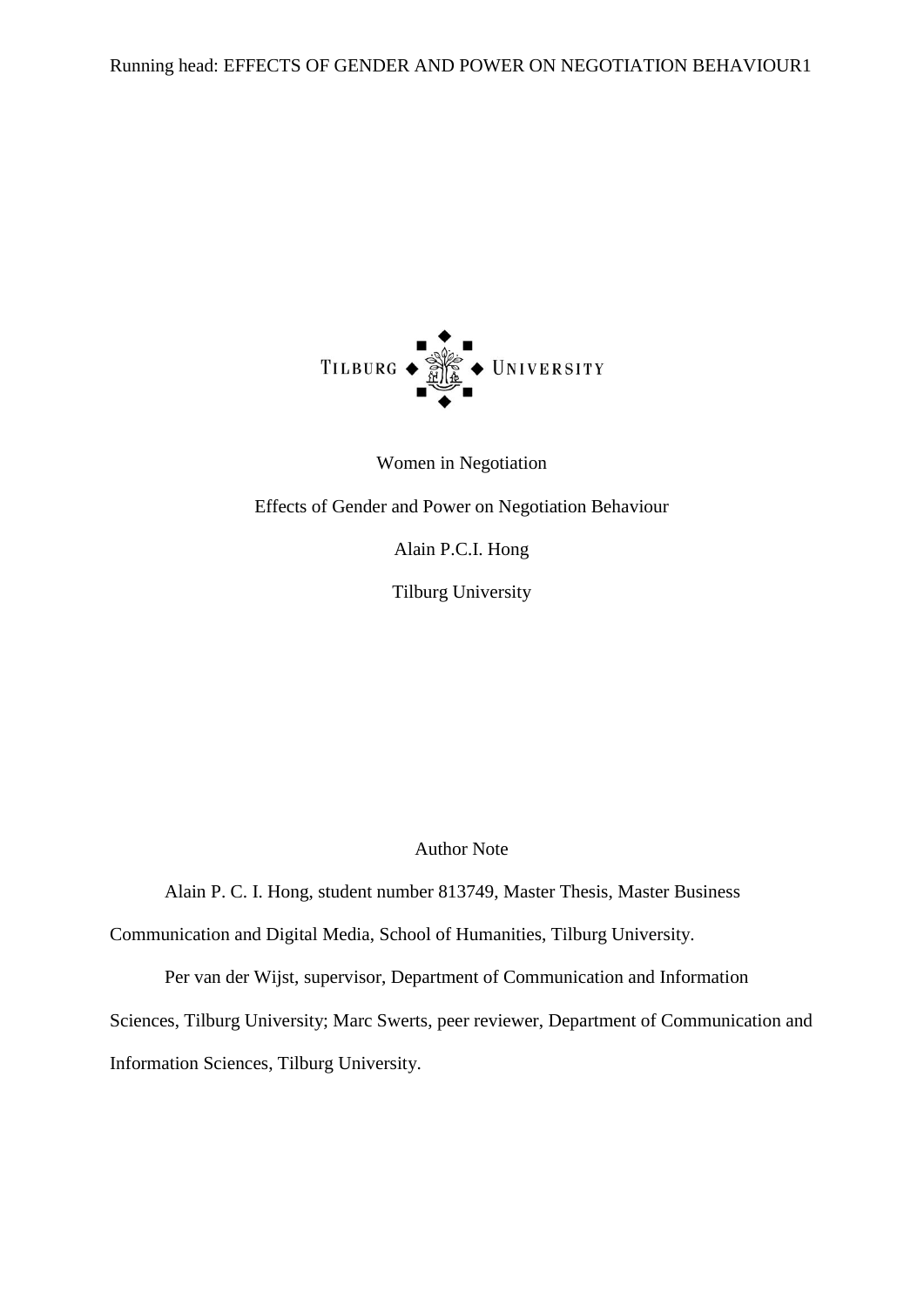

## Women in Negotiation

Effects of Gender and Power on Negotiation Behaviour

Alain P.C.I. Hong

Tilburg University

Author Note

Alain P. C. I. Hong, student number 813749, Master Thesis, Master Business

Communication and Digital Media, School of Humanities, Tilburg University.

Per van der Wijst, supervisor, Department of Communication and Information Sciences, Tilburg University; Marc Swerts, peer reviewer, Department of Communication and Information Sciences, Tilburg University.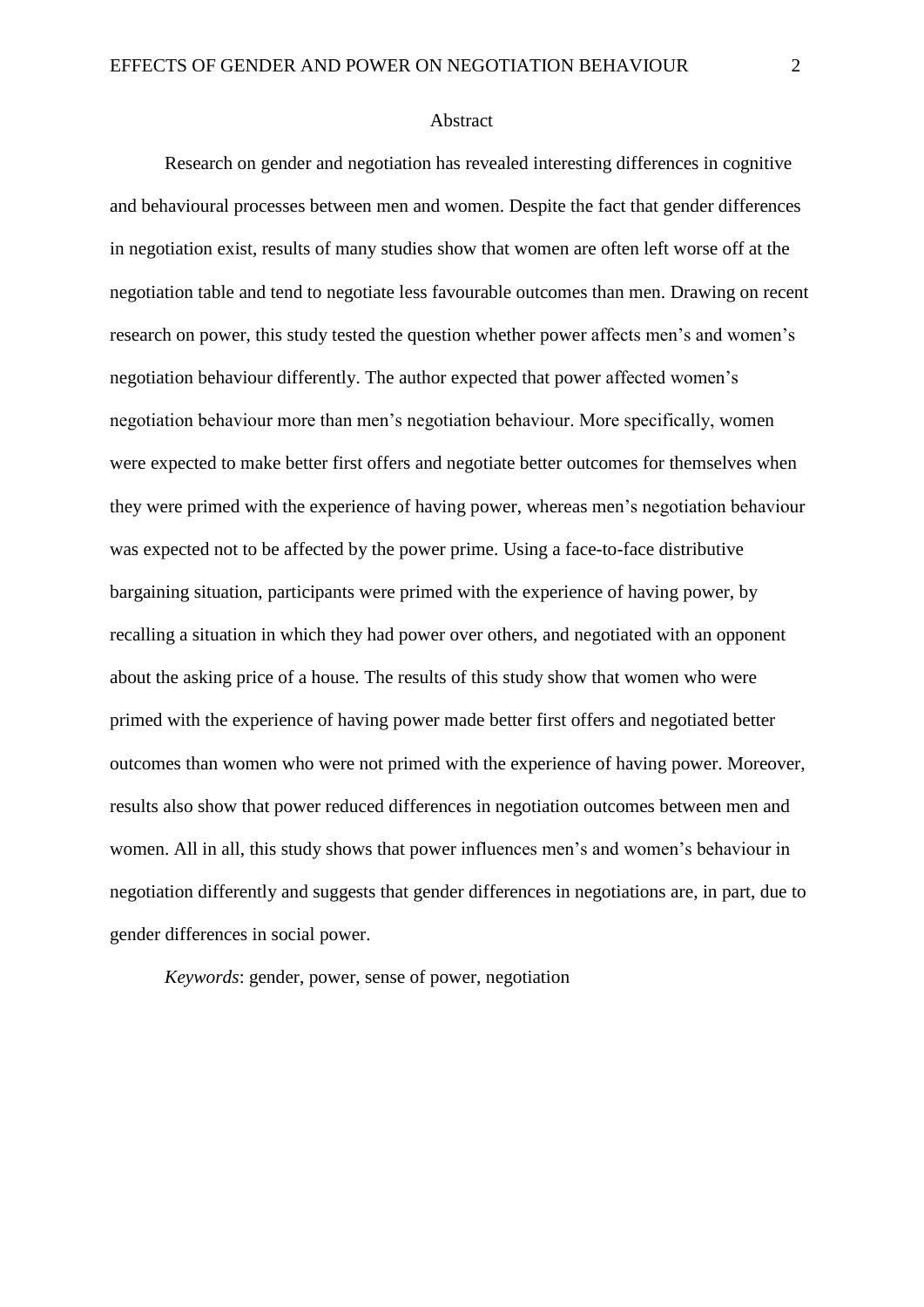#### Abstract

Research on gender and negotiation has revealed interesting differences in cognitive and behavioural processes between men and women. Despite the fact that gender differences in negotiation exist, results of many studies show that women are often left worse off at the negotiation table and tend to negotiate less favourable outcomes than men. Drawing on recent research on power, this study tested the question whether power affects men"s and women"s negotiation behaviour differently. The author expected that power affected women"s negotiation behaviour more than men"s negotiation behaviour. More specifically, women were expected to make better first offers and negotiate better outcomes for themselves when they were primed with the experience of having power, whereas men"s negotiation behaviour was expected not to be affected by the power prime. Using a face-to-face distributive bargaining situation, participants were primed with the experience of having power, by recalling a situation in which they had power over others, and negotiated with an opponent about the asking price of a house. The results of this study show that women who were primed with the experience of having power made better first offers and negotiated better outcomes than women who were not primed with the experience of having power. Moreover, results also show that power reduced differences in negotiation outcomes between men and women. All in all, this study shows that power influences men's and women's behaviour in negotiation differently and suggests that gender differences in negotiations are, in part, due to gender differences in social power.

*Keywords*: gender, power, sense of power, negotiation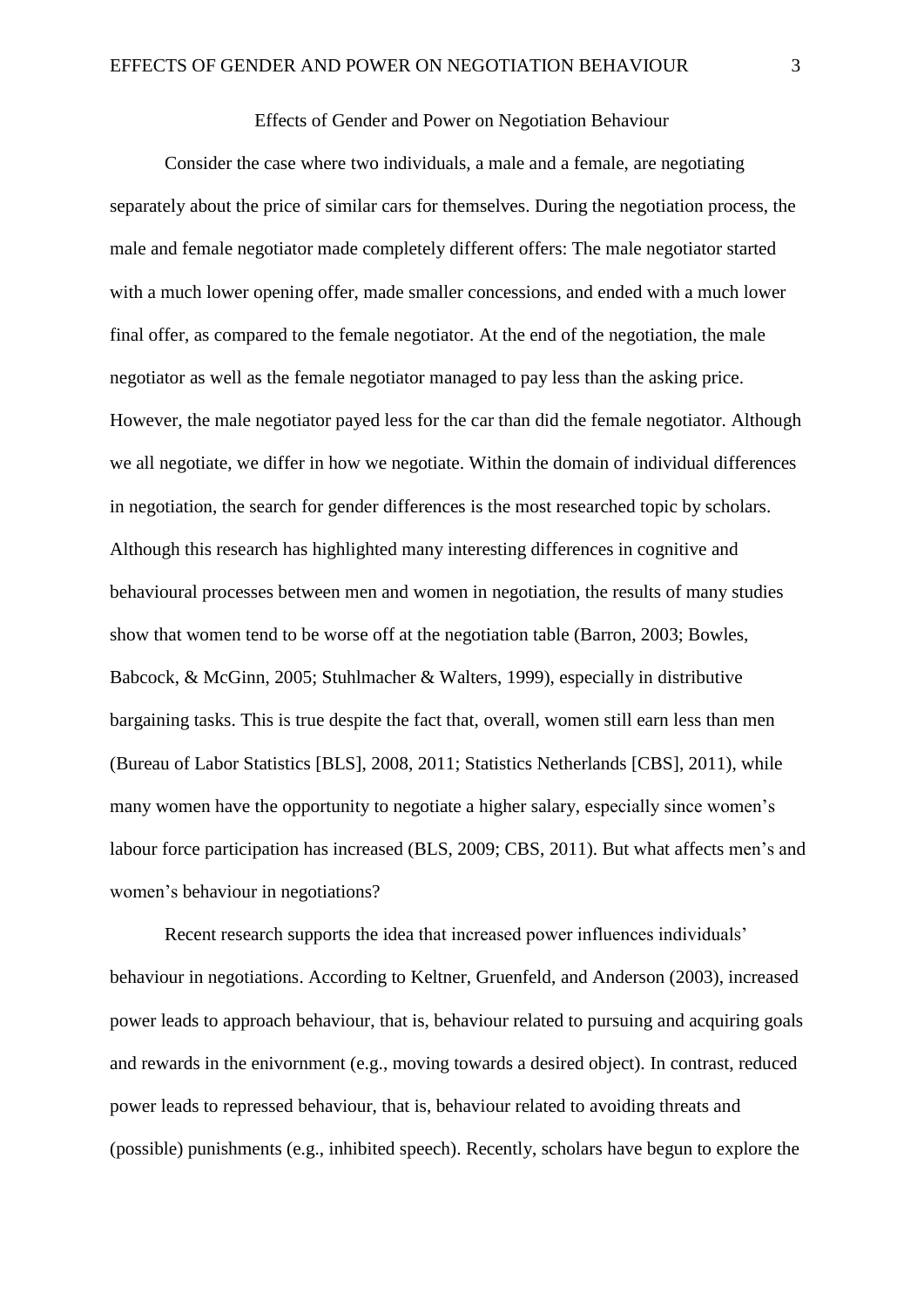Effects of Gender and Power on Negotiation Behaviour

Consider the case where two individuals, a male and a female, are negotiating separately about the price of similar cars for themselves. During the negotiation process, the male and female negotiator made completely different offers: The male negotiator started with a much lower opening offer, made smaller concessions, and ended with a much lower final offer, as compared to the female negotiator. At the end of the negotiation, the male negotiator as well as the female negotiator managed to pay less than the asking price. However, the male negotiator payed less for the car than did the female negotiator. Although we all negotiate, we differ in how we negotiate. Within the domain of individual differences in negotiation, the search for gender differences is the most researched topic by scholars. Although this research has highlighted many interesting differences in cognitive and behavioural processes between men and women in negotiation, the results of many studies show that women tend to be worse off at the negotiation table (Barron, 2003; Bowles, Babcock, & McGinn, 2005; Stuhlmacher & Walters, 1999), especially in distributive bargaining tasks. This is true despite the fact that, overall, women still earn less than men (Bureau of Labor Statistics [BLS], 2008, 2011; Statistics Netherlands [CBS], 2011), while many women have the opportunity to negotiate a higher salary, especially since women"s labour force participation has increased (BLS, 2009; CBS, 2011). But what affects men"s and women's behaviour in negotiations?

Recent research supports the idea that increased power influences individuals' behaviour in negotiations. According to Keltner, Gruenfeld, and Anderson (2003), increased power leads to approach behaviour, that is, behaviour related to pursuing and acquiring goals and rewards in the enivornment (e.g., moving towards a desired object). In contrast, reduced power leads to repressed behaviour, that is, behaviour related to avoiding threats and (possible) punishments (e.g., inhibited speech). Recently, scholars have begun to explore the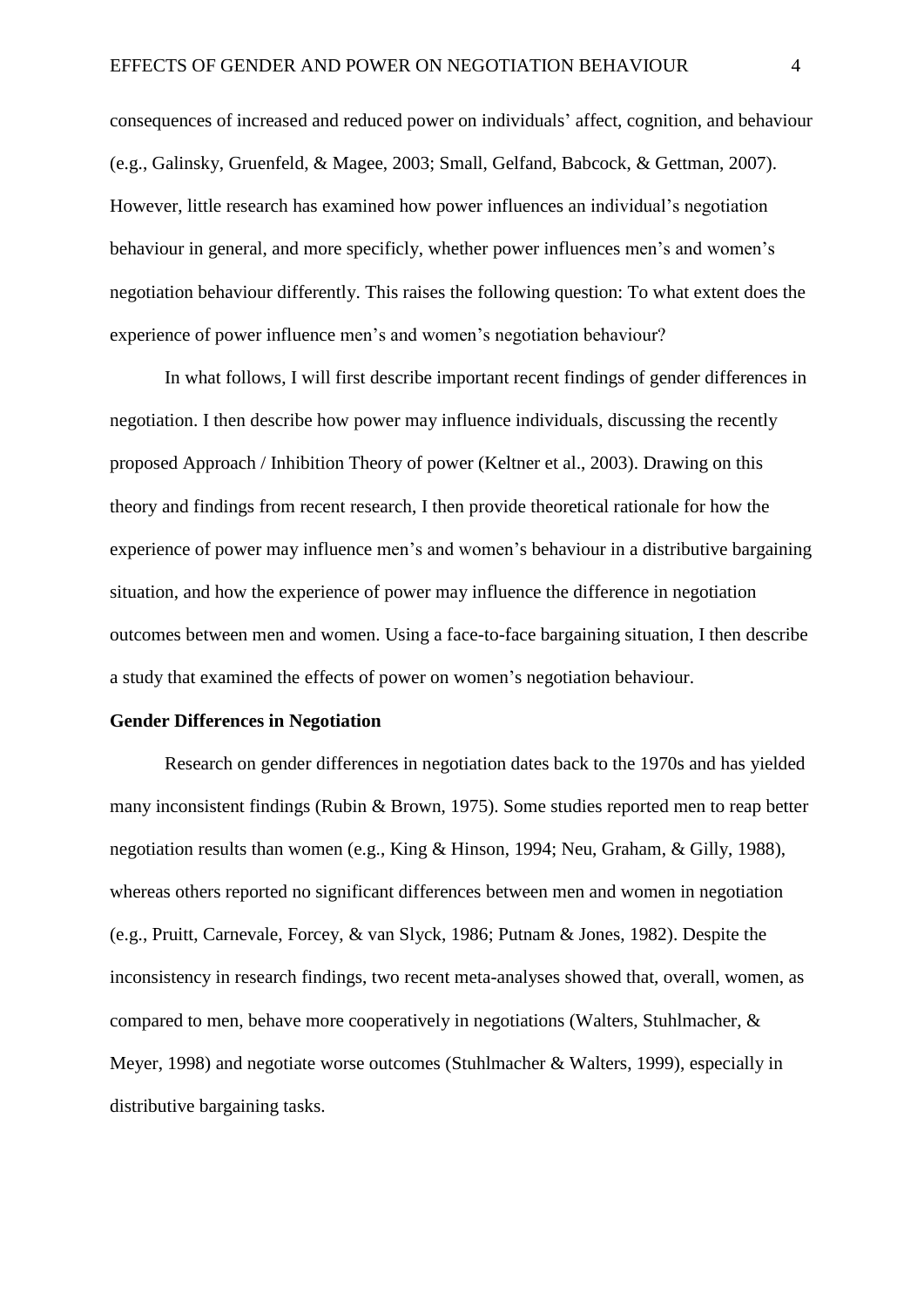consequences of increased and reduced power on individuals" affect, cognition, and behaviour (e.g., Galinsky, Gruenfeld, & Magee, 2003; Small, Gelfand, Babcock, & Gettman, 2007). However, little research has examined how power influences an individual"s negotiation behaviour in general, and more specificly, whether power influences men's and women's negotiation behaviour differently. This raises the following question: To what extent does the experience of power influence men's and women's negotiation behaviour?

In what follows, I will first describe important recent findings of gender differences in negotiation. I then describe how power may influence individuals, discussing the recently proposed Approach / Inhibition Theory of power (Keltner et al., 2003). Drawing on this theory and findings from recent research, I then provide theoretical rationale for how the experience of power may influence men"s and women"s behaviour in a distributive bargaining situation, and how the experience of power may influence the difference in negotiation outcomes between men and women. Using a face-to-face bargaining situation, I then describe a study that examined the effects of power on women"s negotiation behaviour.

## **Gender Differences in Negotiation**

Research on gender differences in negotiation dates back to the 1970s and has yielded many inconsistent findings (Rubin & Brown, 1975). Some studies reported men to reap better negotiation results than women (e.g., King & Hinson, 1994; Neu, Graham, & Gilly, 1988), whereas others reported no significant differences between men and women in negotiation (e.g., Pruitt, Carnevale, Forcey, & van Slyck, 1986; Putnam & Jones, 1982). Despite the inconsistency in research findings, two recent meta-analyses showed that, overall, women, as compared to men, behave more cooperatively in negotiations (Walters, Stuhlmacher, & Meyer, 1998) and negotiate worse outcomes (Stuhlmacher & Walters, 1999), especially in distributive bargaining tasks.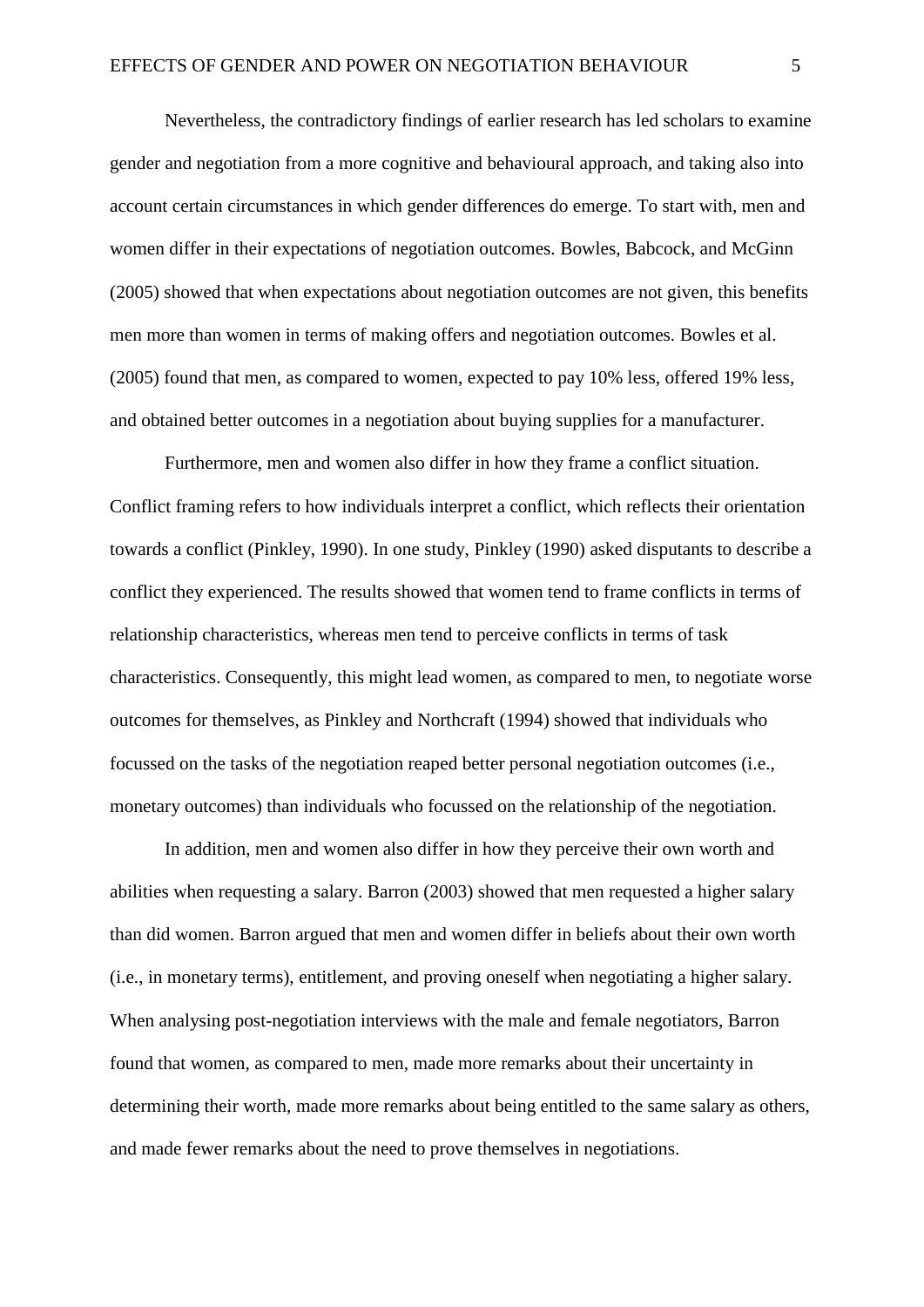Nevertheless, the contradictory findings of earlier research has led scholars to examine gender and negotiation from a more cognitive and behavioural approach, and taking also into account certain circumstances in which gender differences do emerge. To start with, men and women differ in their expectations of negotiation outcomes. Bowles, Babcock, and McGinn (2005) showed that when expectations about negotiation outcomes are not given, this benefits men more than women in terms of making offers and negotiation outcomes. Bowles et al. (2005) found that men, as compared to women, expected to pay 10% less, offered 19% less, and obtained better outcomes in a negotiation about buying supplies for a manufacturer.

Furthermore, men and women also differ in how they frame a conflict situation. Conflict framing refers to how individuals interpret a conflict, which reflects their orientation towards a conflict (Pinkley, 1990). In one study, Pinkley (1990) asked disputants to describe a conflict they experienced. The results showed that women tend to frame conflicts in terms of relationship characteristics, whereas men tend to perceive conflicts in terms of task characteristics. Consequently, this might lead women, as compared to men, to negotiate worse outcomes for themselves, as Pinkley and Northcraft (1994) showed that individuals who focussed on the tasks of the negotiation reaped better personal negotiation outcomes (i.e., monetary outcomes) than individuals who focussed on the relationship of the negotiation.

In addition, men and women also differ in how they perceive their own worth and abilities when requesting a salary. Barron (2003) showed that men requested a higher salary than did women. Barron argued that men and women differ in beliefs about their own worth (i.e., in monetary terms), entitlement, and proving oneself when negotiating a higher salary. When analysing post-negotiation interviews with the male and female negotiators, Barron found that women, as compared to men, made more remarks about their uncertainty in determining their worth, made more remarks about being entitled to the same salary as others, and made fewer remarks about the need to prove themselves in negotiations.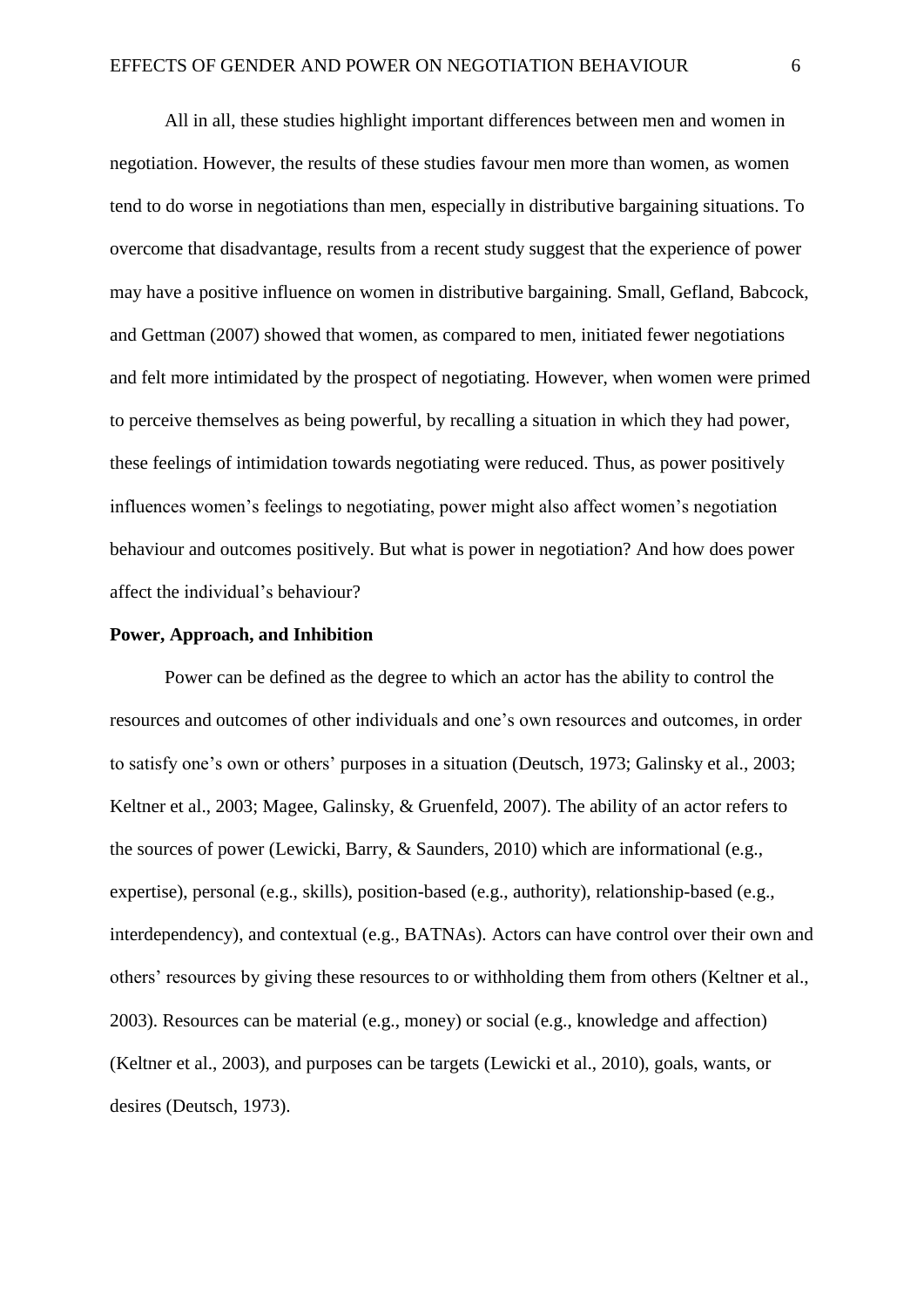All in all, these studies highlight important differences between men and women in negotiation. However, the results of these studies favour men more than women, as women tend to do worse in negotiations than men, especially in distributive bargaining situations. To overcome that disadvantage, results from a recent study suggest that the experience of power may have a positive influence on women in distributive bargaining. Small, Gefland, Babcock, and Gettman (2007) showed that women, as compared to men, initiated fewer negotiations and felt more intimidated by the prospect of negotiating. However, when women were primed to perceive themselves as being powerful, by recalling a situation in which they had power, these feelings of intimidation towards negotiating were reduced. Thus, as power positively influences women"s feelings to negotiating, power might also affect women"s negotiation behaviour and outcomes positively. But what is power in negotiation? And how does power affect the individual's behaviour?

#### **Power, Approach, and Inhibition**

Power can be defined as the degree to which an actor has the ability to control the resources and outcomes of other individuals and one"s own resources and outcomes, in order to satisfy one"s own or others" purposes in a situation (Deutsch, 1973; Galinsky et al., 2003; Keltner et al., 2003; Magee, Galinsky, & Gruenfeld, 2007). The ability of an actor refers to the sources of power (Lewicki, Barry, & Saunders, 2010) which are informational (e.g., expertise), personal (e.g., skills), position-based (e.g., authority), relationship-based (e.g., interdependency), and contextual (e.g., BATNAs). Actors can have control over their own and others" resources by giving these resources to or withholding them from others (Keltner et al., 2003). Resources can be material (e.g., money) or social (e.g., knowledge and affection) (Keltner et al., 2003), and purposes can be targets (Lewicki et al., 2010), goals, wants, or desires (Deutsch, 1973).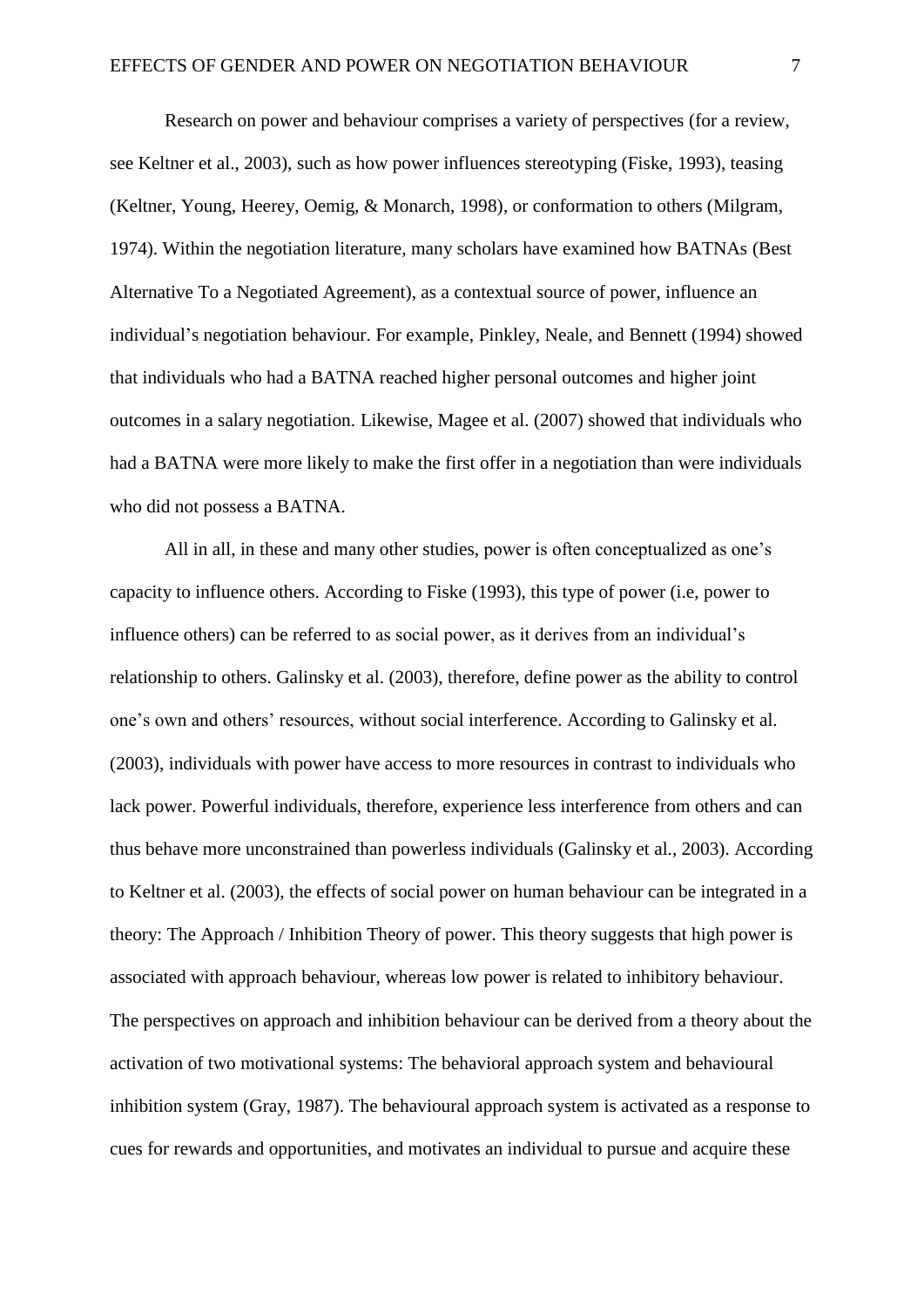Research on power and behaviour comprises a variety of perspectives (for a review, see Keltner et al., 2003), such as how power influences stereotyping (Fiske, 1993), teasing (Keltner, Young, Heerey, Oemig, & Monarch, 1998), or conformation to others (Milgram, 1974). Within the negotiation literature, many scholars have examined how BATNAs (Best Alternative To a Negotiated Agreement), as a contextual source of power, influence an individual"s negotiation behaviour. For example, Pinkley, Neale, and Bennett (1994) showed that individuals who had a BATNA reached higher personal outcomes and higher joint outcomes in a salary negotiation. Likewise, Magee et al. (2007) showed that individuals who had a BATNA were more likely to make the first offer in a negotiation than were individuals who did not possess a BATNA.

All in all, in these and many other studies, power is often conceptualized as one"s capacity to influence others. According to Fiske (1993), this type of power (i.e, power to influence others) can be referred to as social power, as it derives from an individual's relationship to others. Galinsky et al. (2003), therefore, define power as the ability to control one"s own and others" resources, without social interference. According to Galinsky et al. (2003), individuals with power have access to more resources in contrast to individuals who lack power. Powerful individuals, therefore, experience less interference from others and can thus behave more unconstrained than powerless individuals (Galinsky et al., 2003). According to Keltner et al. (2003), the effects of social power on human behaviour can be integrated in a theory: The Approach / Inhibition Theory of power. This theory suggests that high power is associated with approach behaviour, whereas low power is related to inhibitory behaviour. The perspectives on approach and inhibition behaviour can be derived from a theory about the activation of two motivational systems: The behavioral approach system and behavioural inhibition system (Gray, 1987). The behavioural approach system is activated as a response to cues for rewards and opportunities, and motivates an individual to pursue and acquire these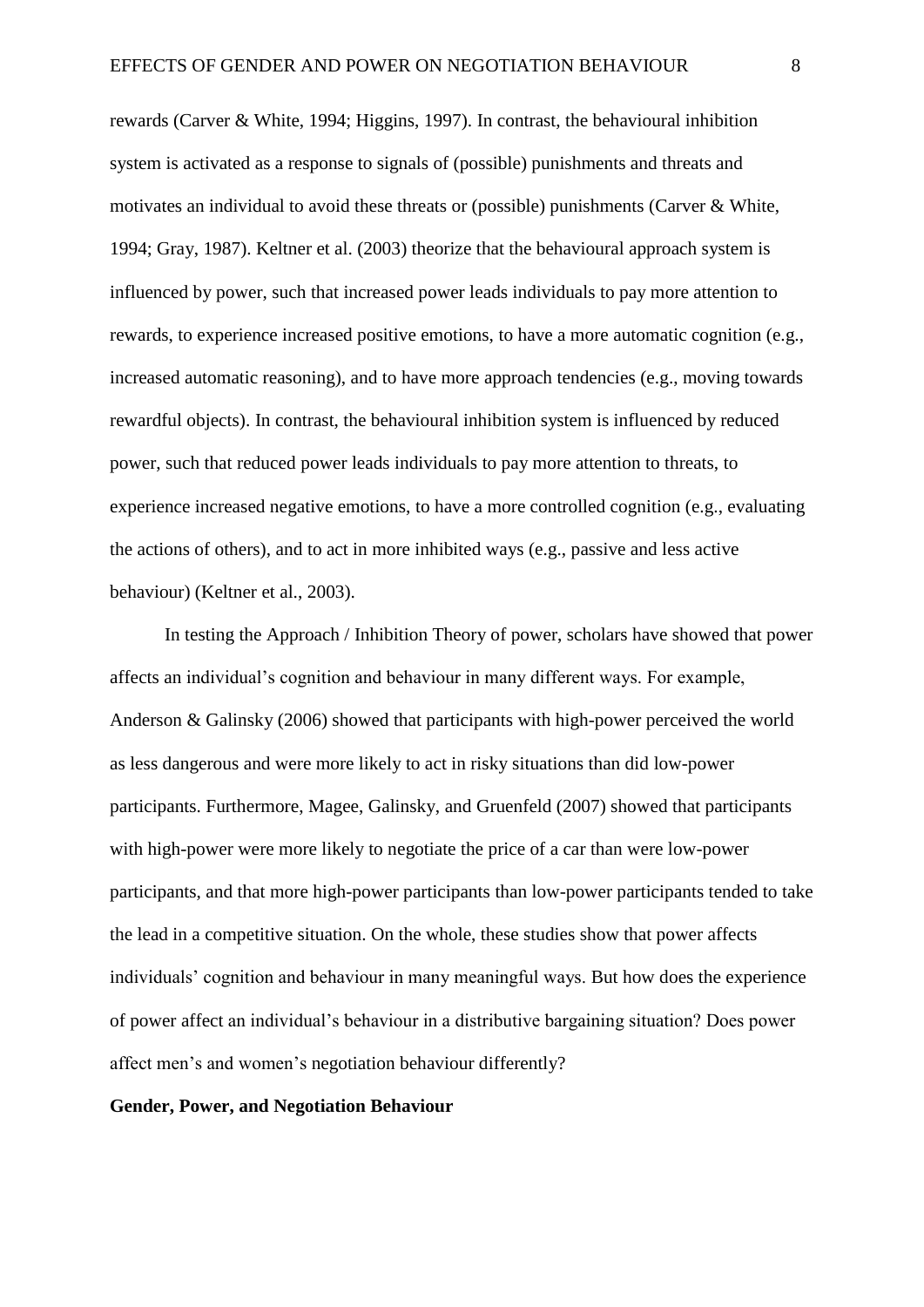rewards (Carver & White, 1994; Higgins, 1997). In contrast, the behavioural inhibition system is activated as a response to signals of (possible) punishments and threats and motivates an individual to avoid these threats or (possible) punishments (Carver & White, 1994; Gray, 1987). Keltner et al. (2003) theorize that the behavioural approach system is influenced by power, such that increased power leads individuals to pay more attention to rewards, to experience increased positive emotions, to have a more automatic cognition (e.g., increased automatic reasoning), and to have more approach tendencies (e.g., moving towards rewardful objects). In contrast, the behavioural inhibition system is influenced by reduced power, such that reduced power leads individuals to pay more attention to threats, to experience increased negative emotions, to have a more controlled cognition (e.g., evaluating the actions of others), and to act in more inhibited ways (e.g., passive and less active behaviour) (Keltner et al., 2003).

In testing the Approach / Inhibition Theory of power, scholars have showed that power affects an individual"s cognition and behaviour in many different ways. For example, Anderson & Galinsky (2006) showed that participants with high-power perceived the world as less dangerous and were more likely to act in risky situations than did low-power participants. Furthermore, Magee, Galinsky, and Gruenfeld (2007) showed that participants with high-power were more likely to negotiate the price of a car than were low-power participants, and that more high-power participants than low-power participants tended to take the lead in a competitive situation. On the whole, these studies show that power affects individuals" cognition and behaviour in many meaningful ways. But how does the experience of power affect an individual"s behaviour in a distributive bargaining situation? Does power affect men"s and women"s negotiation behaviour differently?

#### **Gender, Power, and Negotiation Behaviour**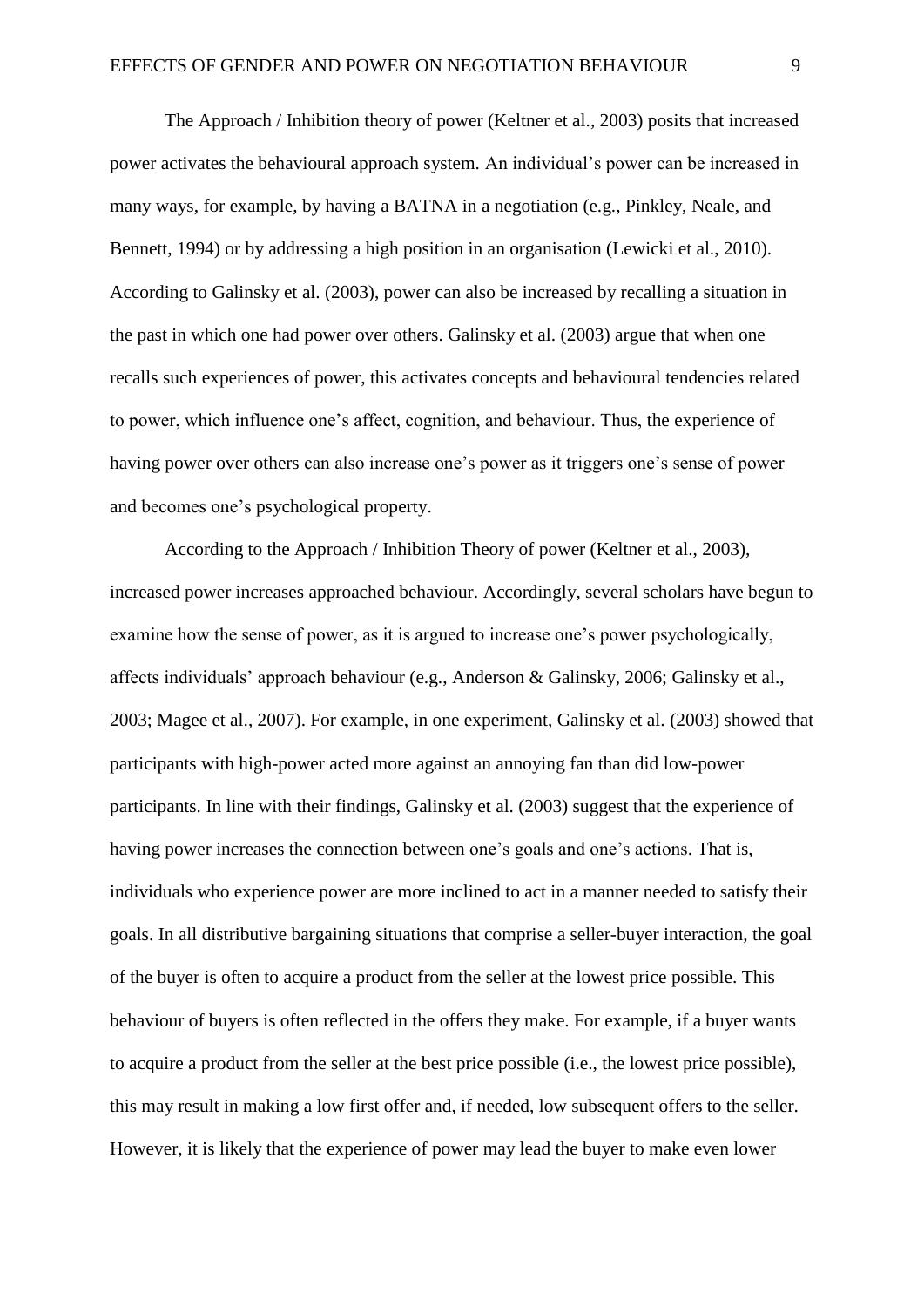The Approach / Inhibition theory of power (Keltner et al., 2003) posits that increased power activates the behavioural approach system. An individual"s power can be increased in many ways, for example, by having a BATNA in a negotiation (e.g., Pinkley, Neale, and Bennett, 1994) or by addressing a high position in an organisation (Lewicki et al., 2010). According to Galinsky et al. (2003), power can also be increased by recalling a situation in the past in which one had power over others. Galinsky et al. (2003) argue that when one recalls such experiences of power, this activates concepts and behavioural tendencies related to power, which influence one"s affect, cognition, and behaviour. Thus, the experience of having power over others can also increase one"s power as it triggers one"s sense of power and becomes one"s psychological property.

According to the Approach / Inhibition Theory of power (Keltner et al., 2003), increased power increases approached behaviour. Accordingly, several scholars have begun to examine how the sense of power, as it is argued to increase one's power psychologically, affects individuals" approach behaviour (e.g., Anderson & Galinsky, 2006; Galinsky et al., 2003; Magee et al., 2007). For example, in one experiment, Galinsky et al. (2003) showed that participants with high-power acted more against an annoying fan than did low-power participants. In line with their findings, Galinsky et al. (2003) suggest that the experience of having power increases the connection between one's goals and one's actions. That is, individuals who experience power are more inclined to act in a manner needed to satisfy their goals. In all distributive bargaining situations that comprise a seller-buyer interaction, the goal of the buyer is often to acquire a product from the seller at the lowest price possible. This behaviour of buyers is often reflected in the offers they make. For example, if a buyer wants to acquire a product from the seller at the best price possible (i.e., the lowest price possible), this may result in making a low first offer and, if needed, low subsequent offers to the seller. However, it is likely that the experience of power may lead the buyer to make even lower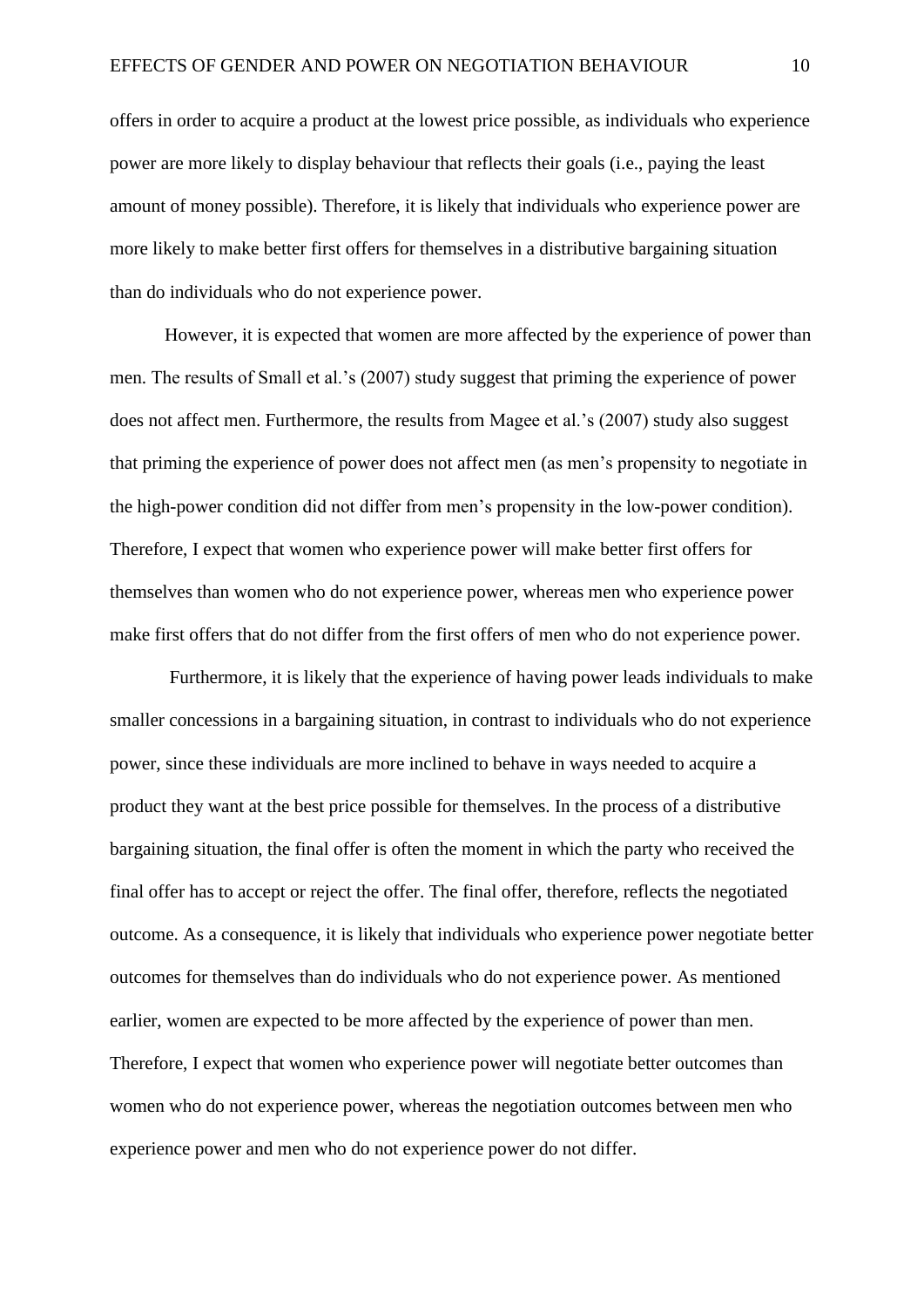offers in order to acquire a product at the lowest price possible, as individuals who experience power are more likely to display behaviour that reflects their goals (i.e., paying the least amount of money possible). Therefore, it is likely that individuals who experience power are more likely to make better first offers for themselves in a distributive bargaining situation than do individuals who do not experience power.

However, it is expected that women are more affected by the experience of power than men. The results of Small et al."s (2007) study suggest that priming the experience of power does not affect men. Furthermore, the results from Magee et al.'s (2007) study also suggest that priming the experience of power does not affect men (as men"s propensity to negotiate in the high-power condition did not differ from men"s propensity in the low-power condition). Therefore, I expect that women who experience power will make better first offers for themselves than women who do not experience power, whereas men who experience power make first offers that do not differ from the first offers of men who do not experience power.

Furthermore, it is likely that the experience of having power leads individuals to make smaller concessions in a bargaining situation, in contrast to individuals who do not experience power, since these individuals are more inclined to behave in ways needed to acquire a product they want at the best price possible for themselves. In the process of a distributive bargaining situation, the final offer is often the moment in which the party who received the final offer has to accept or reject the offer. The final offer, therefore, reflects the negotiated outcome. As a consequence, it is likely that individuals who experience power negotiate better outcomes for themselves than do individuals who do not experience power. As mentioned earlier, women are expected to be more affected by the experience of power than men. Therefore, I expect that women who experience power will negotiate better outcomes than women who do not experience power, whereas the negotiation outcomes between men who experience power and men who do not experience power do not differ.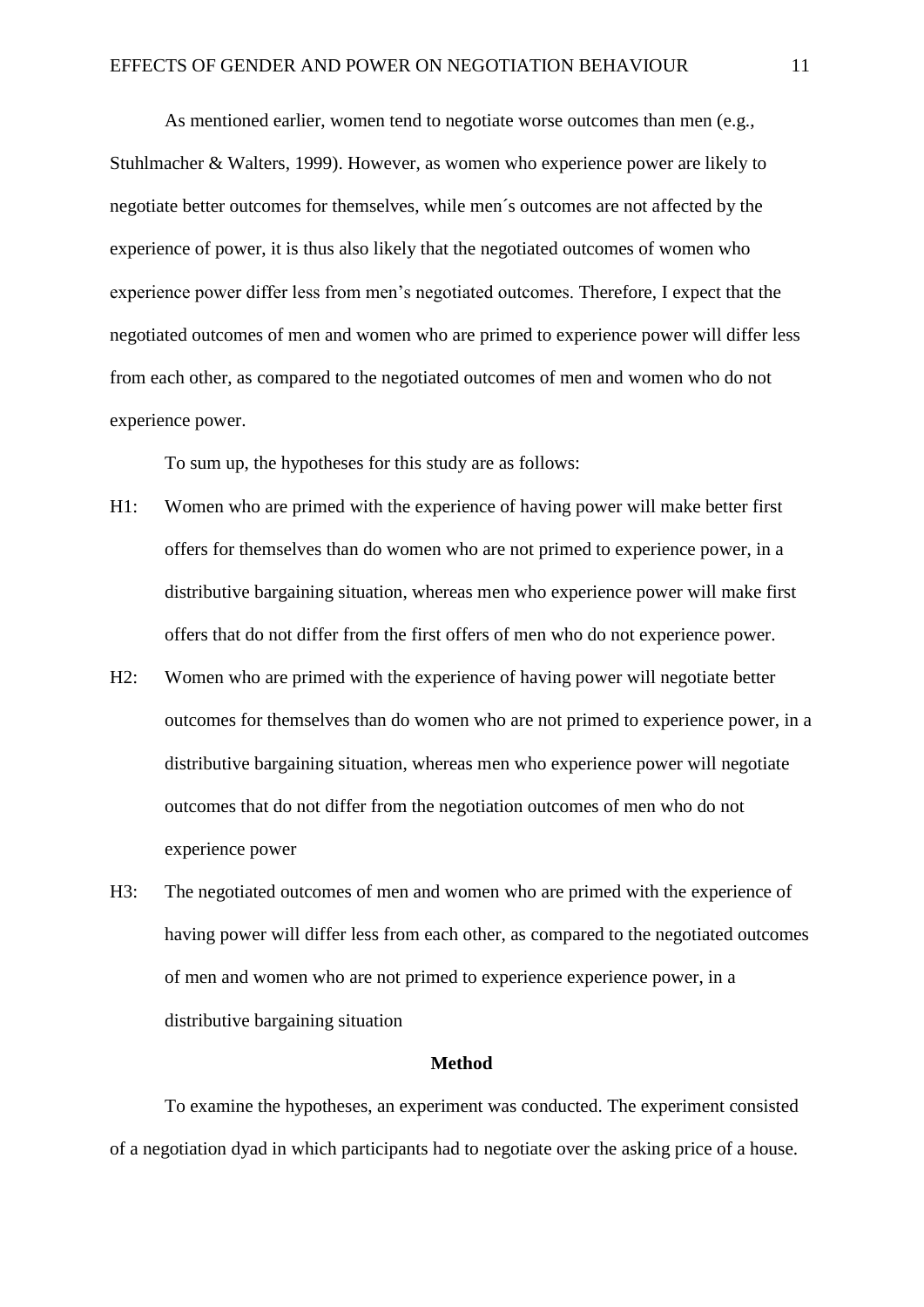As mentioned earlier, women tend to negotiate worse outcomes than men (e.g., Stuhlmacher & Walters, 1999). However, as women who experience power are likely to negotiate better outcomes for themselves, while men´s outcomes are not affected by the experience of power, it is thus also likely that the negotiated outcomes of women who experience power differ less from men"s negotiated outcomes. Therefore, I expect that the negotiated outcomes of men and women who are primed to experience power will differ less from each other, as compared to the negotiated outcomes of men and women who do not experience power.

To sum up, the hypotheses for this study are as follows:

- H1: Women who are primed with the experience of having power will make better first offers for themselves than do women who are not primed to experience power, in a distributive bargaining situation, whereas men who experience power will make first offers that do not differ from the first offers of men who do not experience power.
- H2: Women who are primed with the experience of having power will negotiate better outcomes for themselves than do women who are not primed to experience power, in a distributive bargaining situation, whereas men who experience power will negotiate outcomes that do not differ from the negotiation outcomes of men who do not experience power
- H3: The negotiated outcomes of men and women who are primed with the experience of having power will differ less from each other, as compared to the negotiated outcomes of men and women who are not primed to experience experience power, in a distributive bargaining situation

#### **Method**

To examine the hypotheses, an experiment was conducted. The experiment consisted of a negotiation dyad in which participants had to negotiate over the asking price of a house.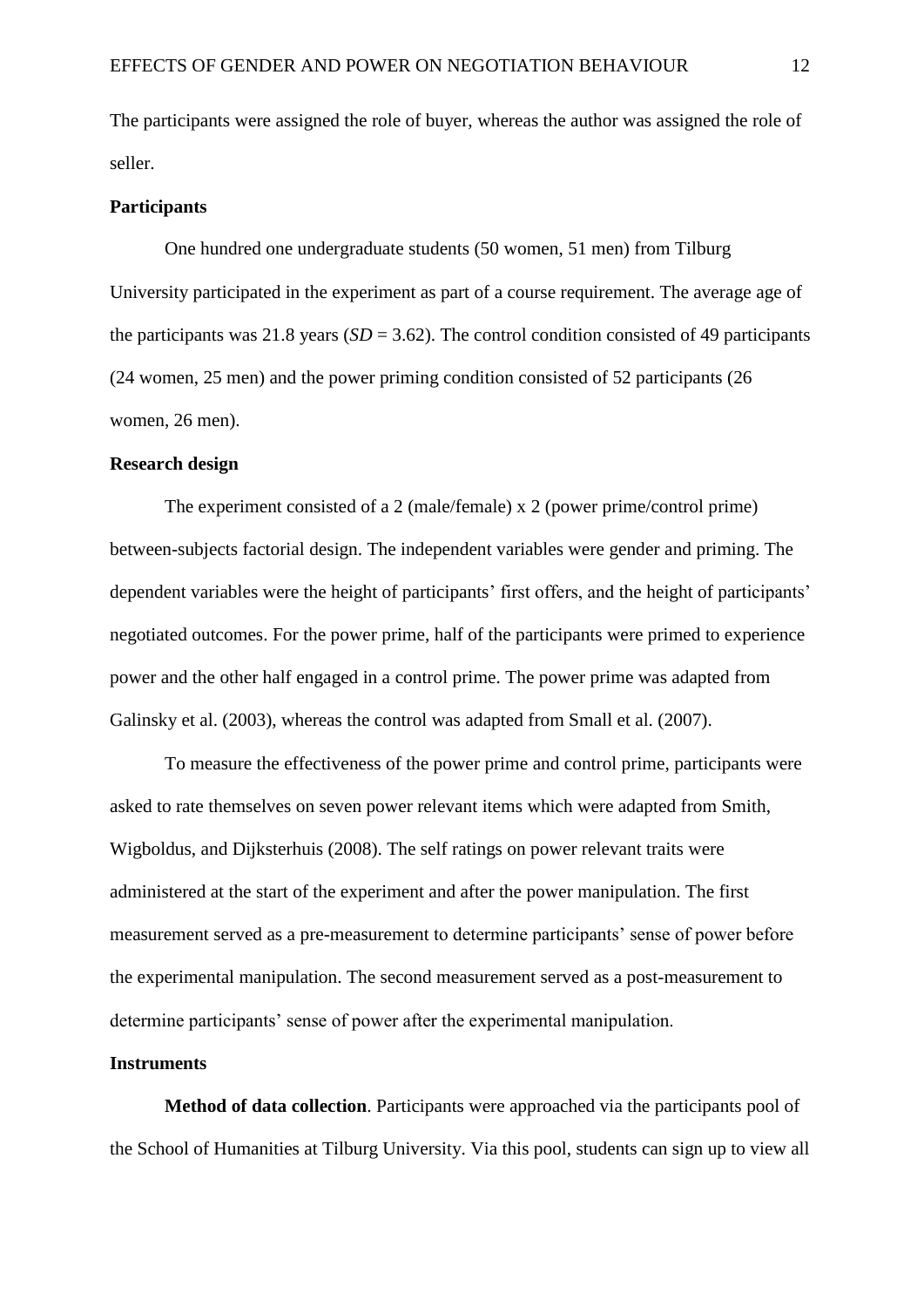The participants were assigned the role of buyer, whereas the author was assigned the role of seller.

### **Participants**

One hundred one undergraduate students (50 women, 51 men) from Tilburg University participated in the experiment as part of a course requirement. The average age of the participants was 21.8 years  $(SD = 3.62)$ . The control condition consisted of 49 participants (24 women, 25 men) and the power priming condition consisted of 52 participants (26 women, 26 men).

## **Research design**

The experiment consisted of a 2 (male/female) x 2 (power prime/control prime) between-subjects factorial design. The independent variables were gender and priming. The dependent variables were the height of participants' first offers, and the height of participants' negotiated outcomes. For the power prime, half of the participants were primed to experience power and the other half engaged in a control prime. The power prime was adapted from Galinsky et al. (2003), whereas the control was adapted from Small et al. (2007).

To measure the effectiveness of the power prime and control prime, participants were asked to rate themselves on seven power relevant items which were adapted from Smith, Wigboldus, and Dijksterhuis (2008). The self ratings on power relevant traits were administered at the start of the experiment and after the power manipulation. The first measurement served as a pre-measurement to determine participants" sense of power before the experimental manipulation. The second measurement served as a post-measurement to determine participants' sense of power after the experimental manipulation.

## **Instruments**

**Method of data collection**. Participants were approached via the participants pool of the School of Humanities at Tilburg University. Via this pool, students can sign up to view all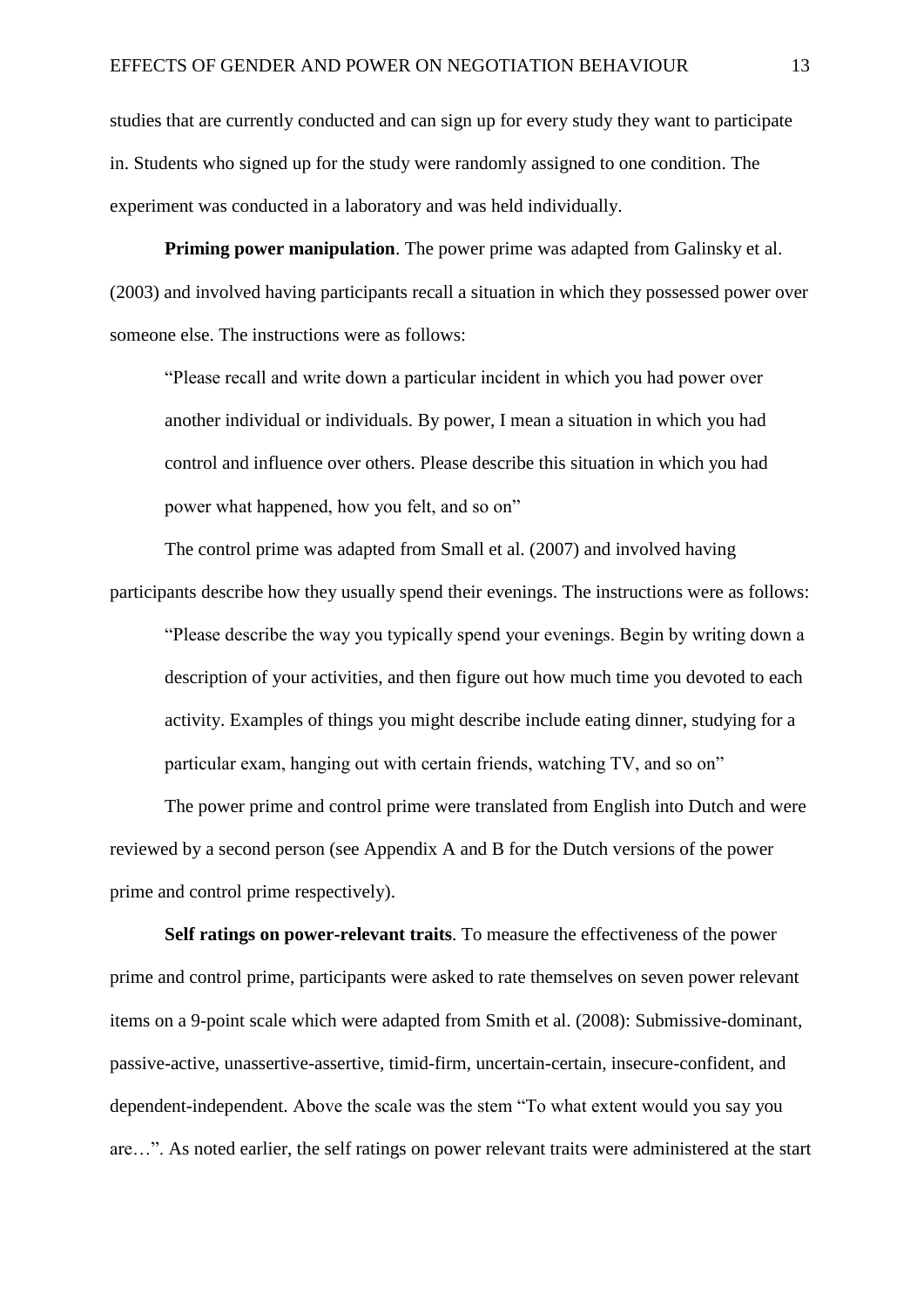studies that are currently conducted and can sign up for every study they want to participate in. Students who signed up for the study were randomly assigned to one condition. The experiment was conducted in a laboratory and was held individually.

**Priming power manipulation**. The power prime was adapted from Galinsky et al. (2003) and involved having participants recall a situation in which they possessed power over someone else. The instructions were as follows:

"Please recall and write down a particular incident in which you had power over another individual or individuals. By power, I mean a situation in which you had control and influence over others. Please describe this situation in which you had power what happened, how you felt, and so on"

The control prime was adapted from Small et al. (2007) and involved having participants describe how they usually spend their evenings. The instructions were as follows:

"Please describe the way you typically spend your evenings. Begin by writing down a description of your activities, and then figure out how much time you devoted to each activity. Examples of things you might describe include eating dinner, studying for a particular exam, hanging out with certain friends, watching TV, and so on"

The power prime and control prime were translated from English into Dutch and were reviewed by a second person (see Appendix A and B for the Dutch versions of the power prime and control prime respectively).

**Self ratings on power-relevant traits**. To measure the effectiveness of the power prime and control prime, participants were asked to rate themselves on seven power relevant items on a 9-point scale which were adapted from Smith et al. (2008): Submissive-dominant, passive-active, unassertive-assertive, timid-firm, uncertain-certain, insecure-confident, and dependent-independent. Above the scale was the stem "To what extent would you say you are…". As noted earlier, the self ratings on power relevant traits were administered at the start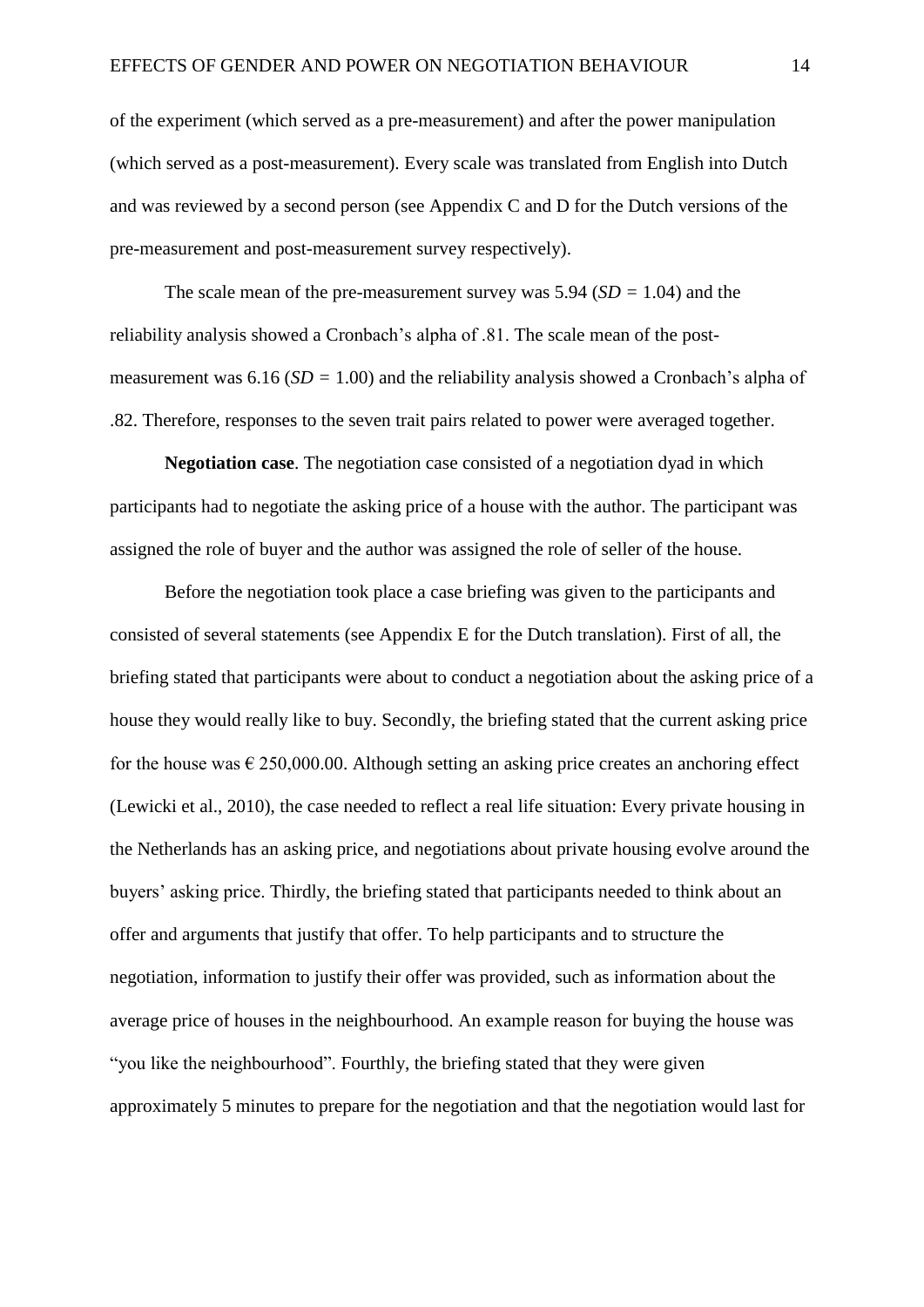of the experiment (which served as a pre-measurement) and after the power manipulation (which served as a post-measurement). Every scale was translated from English into Dutch and was reviewed by a second person (see Appendix C and D for the Dutch versions of the pre-measurement and post-measurement survey respectively).

The scale mean of the pre-measurement survey was 5.94 (*SD =* 1.04) and the reliability analysis showed a Cronbach"s alpha of .81. The scale mean of the postmeasurement was  $6.16$  ( $SD = 1.00$ ) and the reliability analysis showed a Cronbach's alpha of .82. Therefore, responses to the seven trait pairs related to power were averaged together.

**Negotiation case**. The negotiation case consisted of a negotiation dyad in which participants had to negotiate the asking price of a house with the author. The participant was assigned the role of buyer and the author was assigned the role of seller of the house.

Before the negotiation took place a case briefing was given to the participants and consisted of several statements (see Appendix E for the Dutch translation). First of all, the briefing stated that participants were about to conduct a negotiation about the asking price of a house they would really like to buy. Secondly, the briefing stated that the current asking price for the house was  $\epsilon$  250,000.00. Although setting an asking price creates an anchoring effect (Lewicki et al., 2010), the case needed to reflect a real life situation: Every private housing in the Netherlands has an asking price, and negotiations about private housing evolve around the buyers" asking price. Thirdly, the briefing stated that participants needed to think about an offer and arguments that justify that offer. To help participants and to structure the negotiation, information to justify their offer was provided, such as information about the average price of houses in the neighbourhood. An example reason for buying the house was "you like the neighbourhood". Fourthly, the briefing stated that they were given approximately 5 minutes to prepare for the negotiation and that the negotiation would last for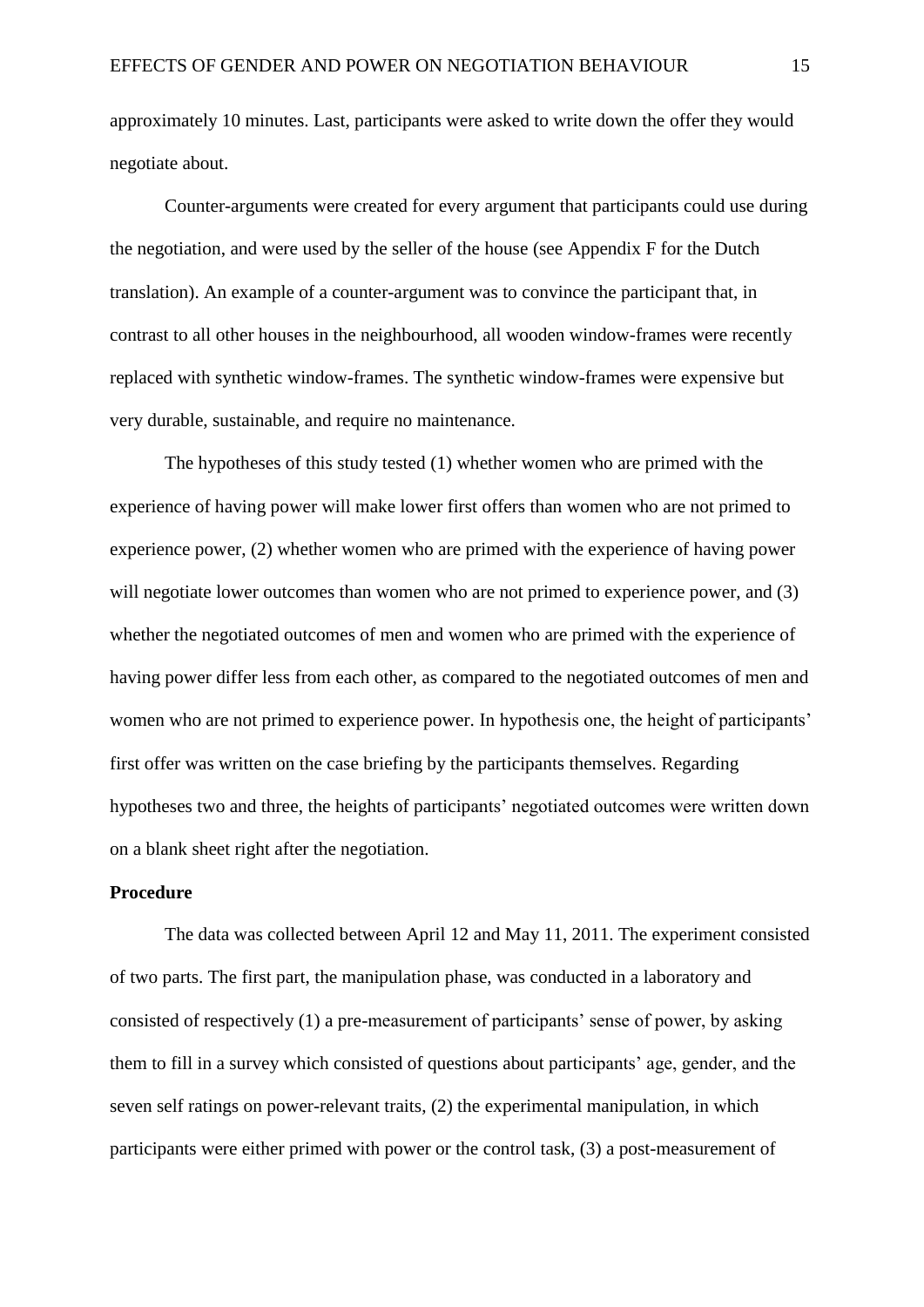approximately 10 minutes. Last, participants were asked to write down the offer they would negotiate about.

Counter-arguments were created for every argument that participants could use during the negotiation, and were used by the seller of the house (see Appendix F for the Dutch translation). An example of a counter-argument was to convince the participant that, in contrast to all other houses in the neighbourhood, all wooden window-frames were recently replaced with synthetic window-frames. The synthetic window-frames were expensive but very durable, sustainable, and require no maintenance.

The hypotheses of this study tested (1) whether women who are primed with the experience of having power will make lower first offers than women who are not primed to experience power, (2) whether women who are primed with the experience of having power will negotiate lower outcomes than women who are not primed to experience power, and (3) whether the negotiated outcomes of men and women who are primed with the experience of having power differ less from each other, as compared to the negotiated outcomes of men and women who are not primed to experience power. In hypothesis one, the height of participants' first offer was written on the case briefing by the participants themselves. Regarding hypotheses two and three, the heights of participants' negotiated outcomes were written down on a blank sheet right after the negotiation.

## **Procedure**

The data was collected between April 12 and May 11, 2011. The experiment consisted of two parts. The first part, the manipulation phase, was conducted in a laboratory and consisted of respectively (1) a pre-measurement of participants' sense of power, by asking them to fill in a survey which consisted of questions about participants" age, gender, and the seven self ratings on power-relevant traits, (2) the experimental manipulation, in which participants were either primed with power or the control task, (3) a post-measurement of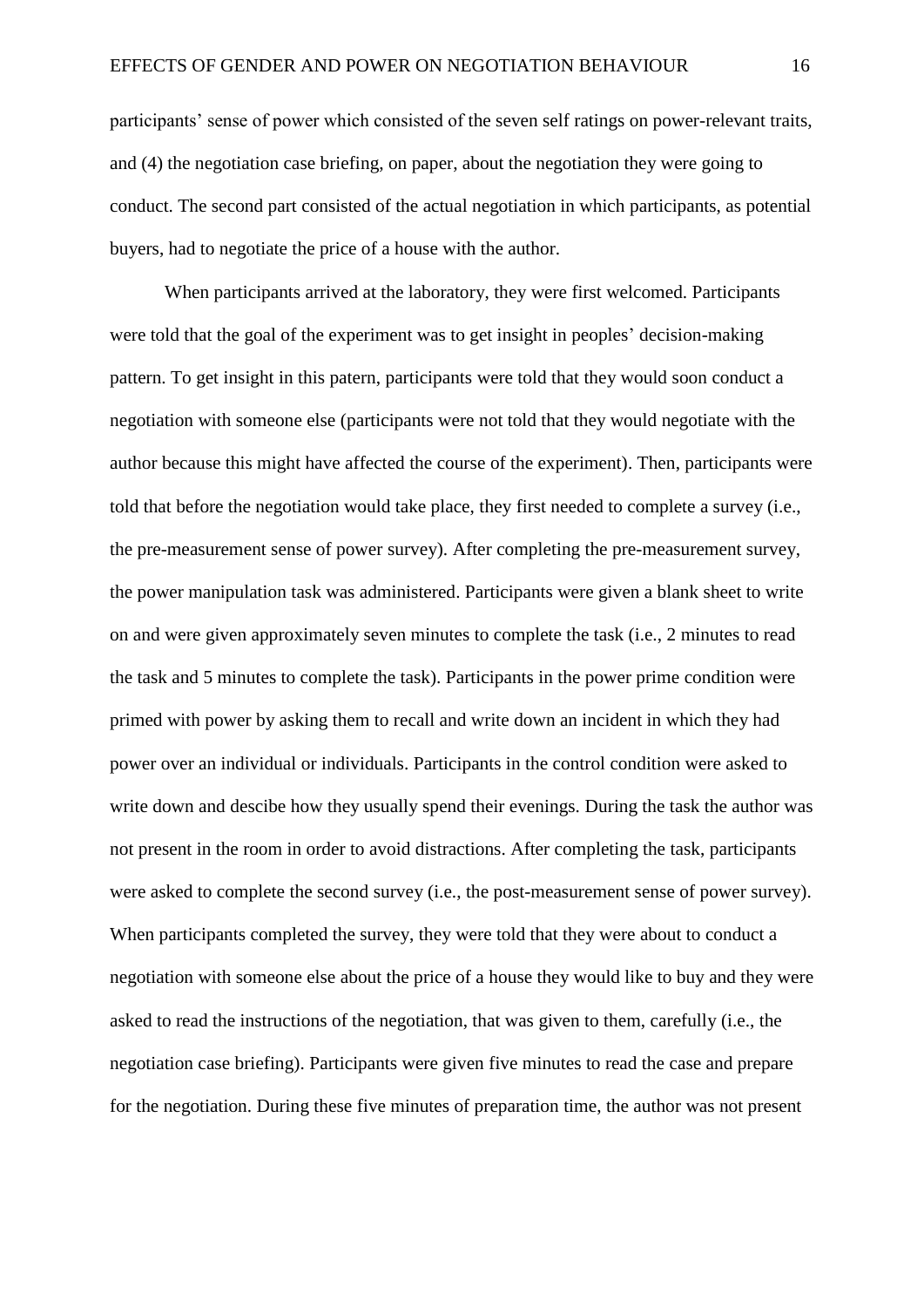participants' sense of power which consisted of the seven self ratings on power-relevant traits, and (4) the negotiation case briefing, on paper, about the negotiation they were going to conduct. The second part consisted of the actual negotiation in which participants, as potential buyers, had to negotiate the price of a house with the author.

When participants arrived at the laboratory, they were first welcomed. Participants were told that the goal of the experiment was to get insight in peoples' decision-making pattern. To get insight in this patern, participants were told that they would soon conduct a negotiation with someone else (participants were not told that they would negotiate with the author because this might have affected the course of the experiment). Then, participants were told that before the negotiation would take place, they first needed to complete a survey (i.e., the pre-measurement sense of power survey). After completing the pre-measurement survey, the power manipulation task was administered. Participants were given a blank sheet to write on and were given approximately seven minutes to complete the task (i.e., 2 minutes to read the task and 5 minutes to complete the task). Participants in the power prime condition were primed with power by asking them to recall and write down an incident in which they had power over an individual or individuals. Participants in the control condition were asked to write down and descibe how they usually spend their evenings. During the task the author was not present in the room in order to avoid distractions. After completing the task, participants were asked to complete the second survey (i.e., the post-measurement sense of power survey). When participants completed the survey, they were told that they were about to conduct a negotiation with someone else about the price of a house they would like to buy and they were asked to read the instructions of the negotiation, that was given to them, carefully (i.e., the negotiation case briefing). Participants were given five minutes to read the case and prepare for the negotiation. During these five minutes of preparation time, the author was not present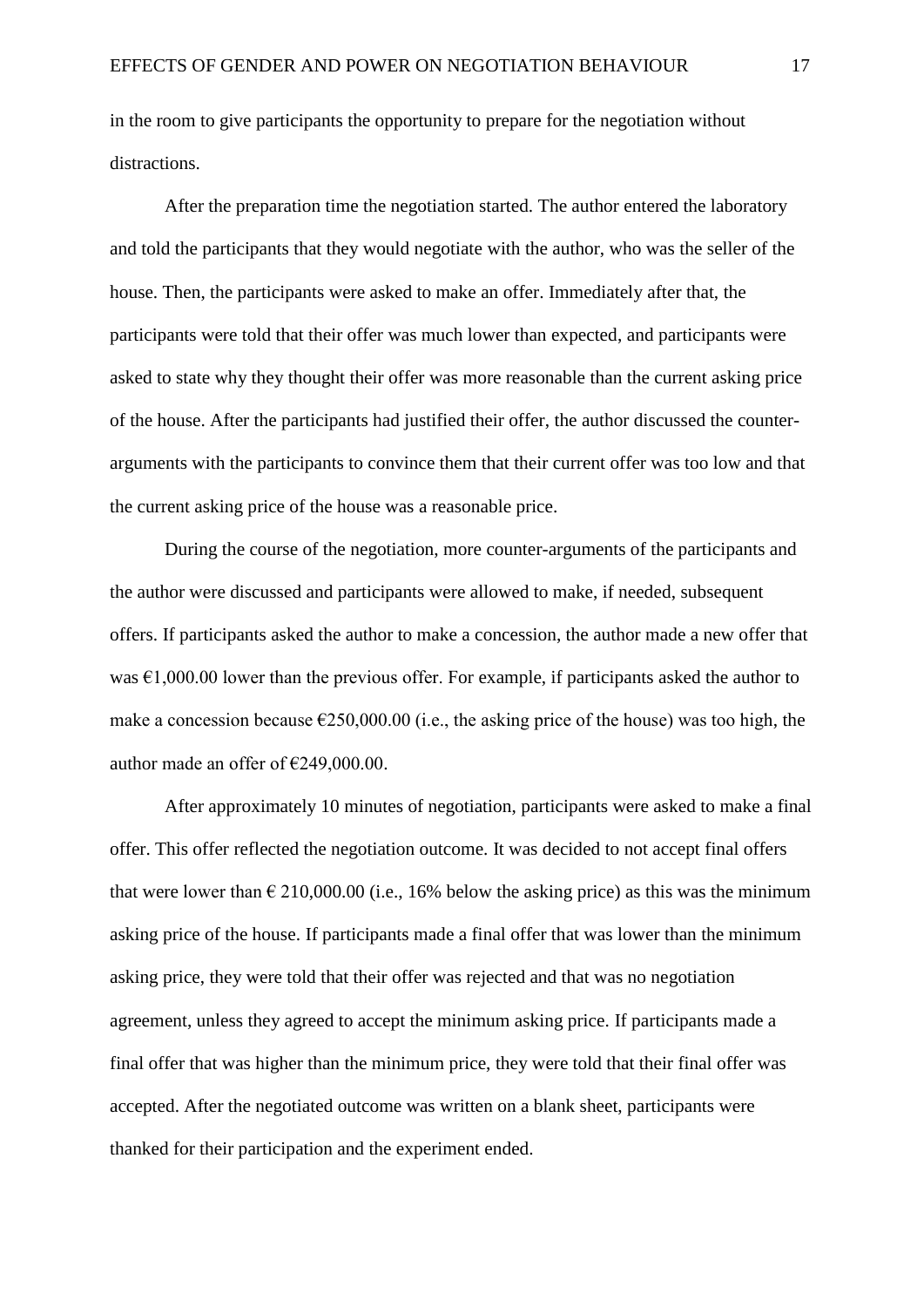in the room to give participants the opportunity to prepare for the negotiation without distractions.

After the preparation time the negotiation started. The author entered the laboratory and told the participants that they would negotiate with the author, who was the seller of the house. Then, the participants were asked to make an offer. Immediately after that, the participants were told that their offer was much lower than expected, and participants were asked to state why they thought their offer was more reasonable than the current asking price of the house. After the participants had justified their offer, the author discussed the counterarguments with the participants to convince them that their current offer was too low and that the current asking price of the house was a reasonable price.

During the course of the negotiation, more counter-arguments of the participants and the author were discussed and participants were allowed to make, if needed, subsequent offers. If participants asked the author to make a concession, the author made a new offer that was  $\epsilon$ 1,000.00 lower than the previous offer. For example, if participants asked the author to make a concession because  $\epsilon$ 250,000.00 (i.e., the asking price of the house) was too high, the author made an offer of €249,000.00.

After approximately 10 minutes of negotiation, participants were asked to make a final offer. This offer reflected the negotiation outcome. It was decided to not accept final offers that were lower than  $\epsilon$  210,000.00 (i.e., 16% below the asking price) as this was the minimum asking price of the house. If participants made a final offer that was lower than the minimum asking price, they were told that their offer was rejected and that was no negotiation agreement, unless they agreed to accept the minimum asking price. If participants made a final offer that was higher than the minimum price, they were told that their final offer was accepted. After the negotiated outcome was written on a blank sheet, participants were thanked for their participation and the experiment ended.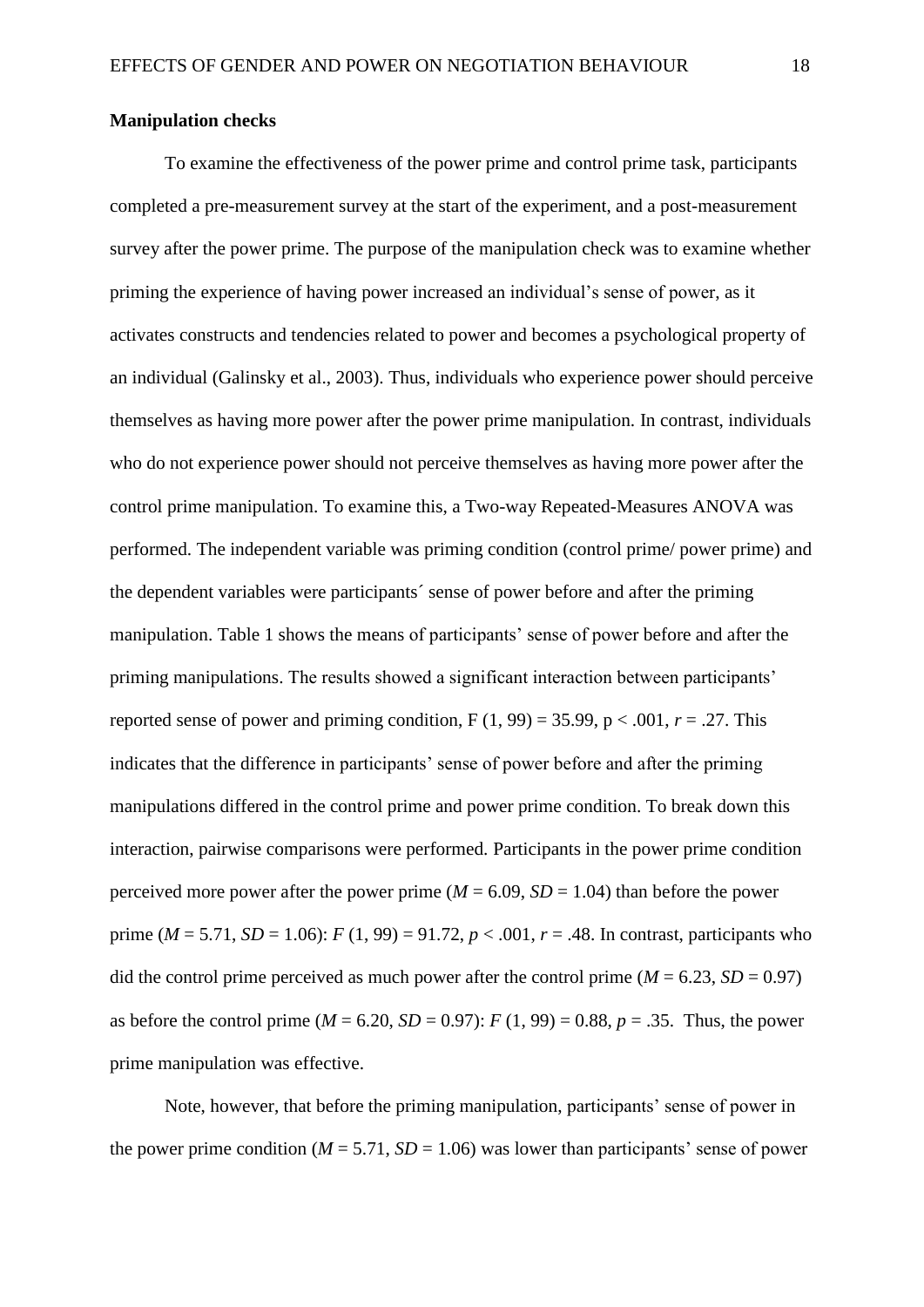## **Manipulation checks**

To examine the effectiveness of the power prime and control prime task, participants completed a pre-measurement survey at the start of the experiment, and a post-measurement survey after the power prime. The purpose of the manipulation check was to examine whether priming the experience of having power increased an individual"s sense of power, as it activates constructs and tendencies related to power and becomes a psychological property of an individual (Galinsky et al., 2003). Thus, individuals who experience power should perceive themselves as having more power after the power prime manipulation. In contrast, individuals who do not experience power should not perceive themselves as having more power after the control prime manipulation. To examine this, a Two-way Repeated-Measures ANOVA was performed. The independent variable was priming condition (control prime/ power prime) and the dependent variables were participants´ sense of power before and after the priming manipulation. Table 1 shows the means of participants' sense of power before and after the priming manipulations. The results showed a significant interaction between participants' reported sense of power and priming condition,  $F(1, 99) = 35.99$ ,  $p < .001$ ,  $r = .27$ . This indicates that the difference in participants" sense of power before and after the priming manipulations differed in the control prime and power prime condition. To break down this interaction, pairwise comparisons were performed. Participants in the power prime condition perceived more power after the power prime ( $M = 6.09$ ,  $SD = 1.04$ ) than before the power prime ( $M = 5.71$ ,  $SD = 1.06$ ):  $F(1, 99) = 91.72$ ,  $p < .001$ ,  $r = .48$ . In contrast, participants who did the control prime perceived as much power after the control prime  $(M = 6.23, SD = 0.97)$ as before the control prime ( $M = 6.20$ ,  $SD = 0.97$ ):  $F(1, 99) = 0.88$ ,  $p = .35$ . Thus, the power prime manipulation was effective.

Note, however, that before the priming manipulation, participants' sense of power in the power prime condition ( $M = 5.71$ ,  $SD = 1.06$ ) was lower than participants' sense of power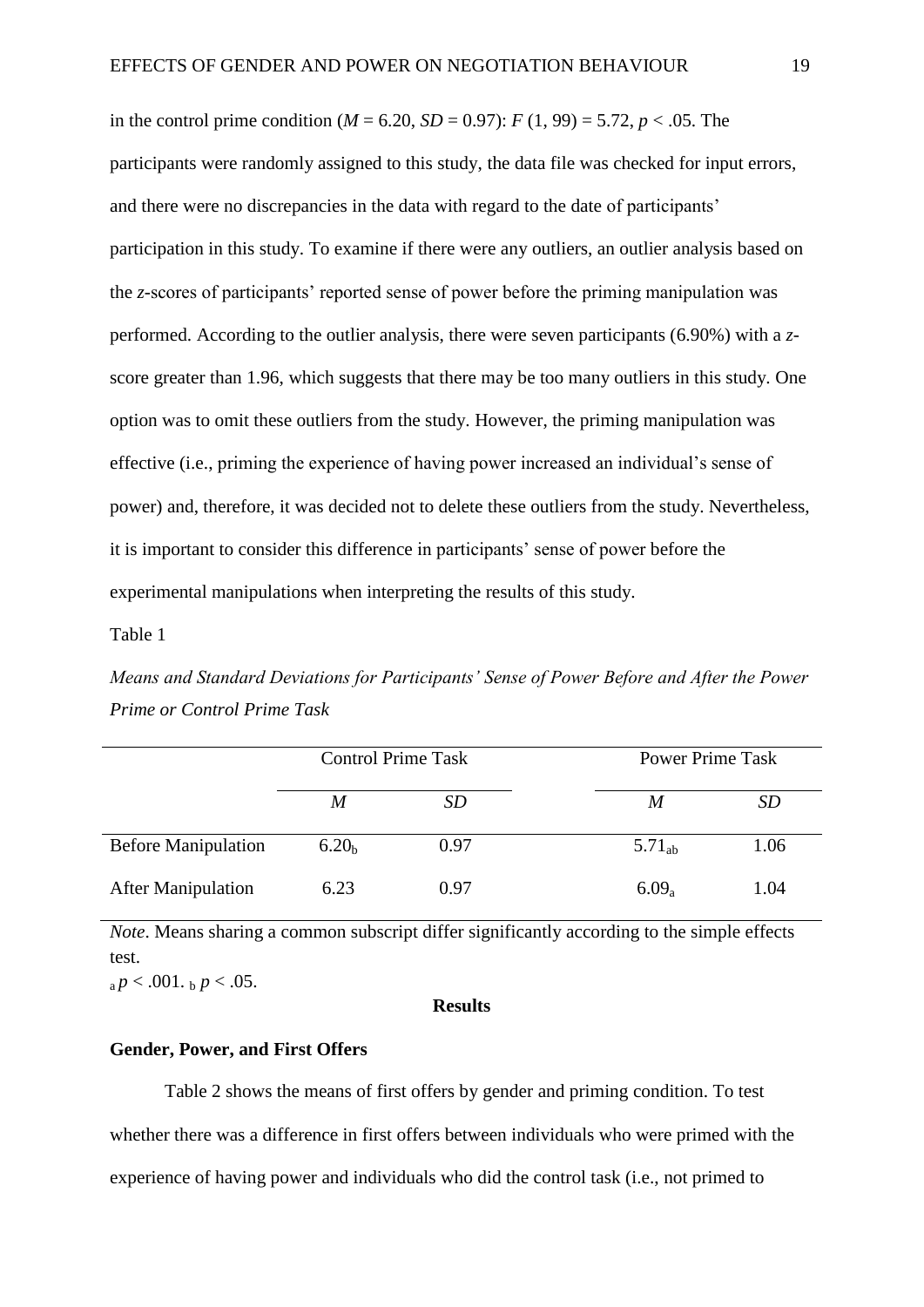in the control prime condition ( $M = 6.20$ ,  $SD = 0.97$ ):  $F(1, 99) = 5.72$ ,  $p < .05$ . The participants were randomly assigned to this study, the data file was checked for input errors, and there were no discrepancies in the data with regard to the date of participants" participation in this study. To examine if there were any outliers, an outlier analysis based on the *z*-scores of participants' reported sense of power before the priming manipulation was performed. According to the outlier analysis, there were seven participants (6.90%) with a *z*score greater than 1.96, which suggests that there may be too many outliers in this study. One option was to omit these outliers from the study. However, the priming manipulation was effective (i.e., priming the experience of having power increased an individual's sense of power) and, therefore, it was decided not to delete these outliers from the study. Nevertheless, it is important to consider this difference in participants' sense of power before the experimental manipulations when interpreting the results of this study.

#### Table 1

*Means and Standard Deviations for Participants' Sense of Power Before and After the Power Prime or Control Prime Task*

|                            | <b>Control Prime Task</b> |           | <b>Power Prime Task</b> |           |
|----------------------------|---------------------------|-----------|-------------------------|-----------|
|                            | M                         | <i>SD</i> | M                       | <i>SD</i> |
| <b>Before Manipulation</b> | 6.20 <sub>h</sub>         | 0.97      | $5.71_{ab}$             | 1.06      |
| <b>After Manipulation</b>  | 6.23                      | 0.97      | $6.09_a$                | 1.04      |

*Note*. Means sharing a common subscript differ significantly according to the simple effects test.

 $_{a}p$  < .001. <sub>b</sub>  $p$  < .05.

#### **Results**

#### **Gender, Power, and First Offers**

Table 2 shows the means of first offers by gender and priming condition. To test whether there was a difference in first offers between individuals who were primed with the experience of having power and individuals who did the control task (i.e., not primed to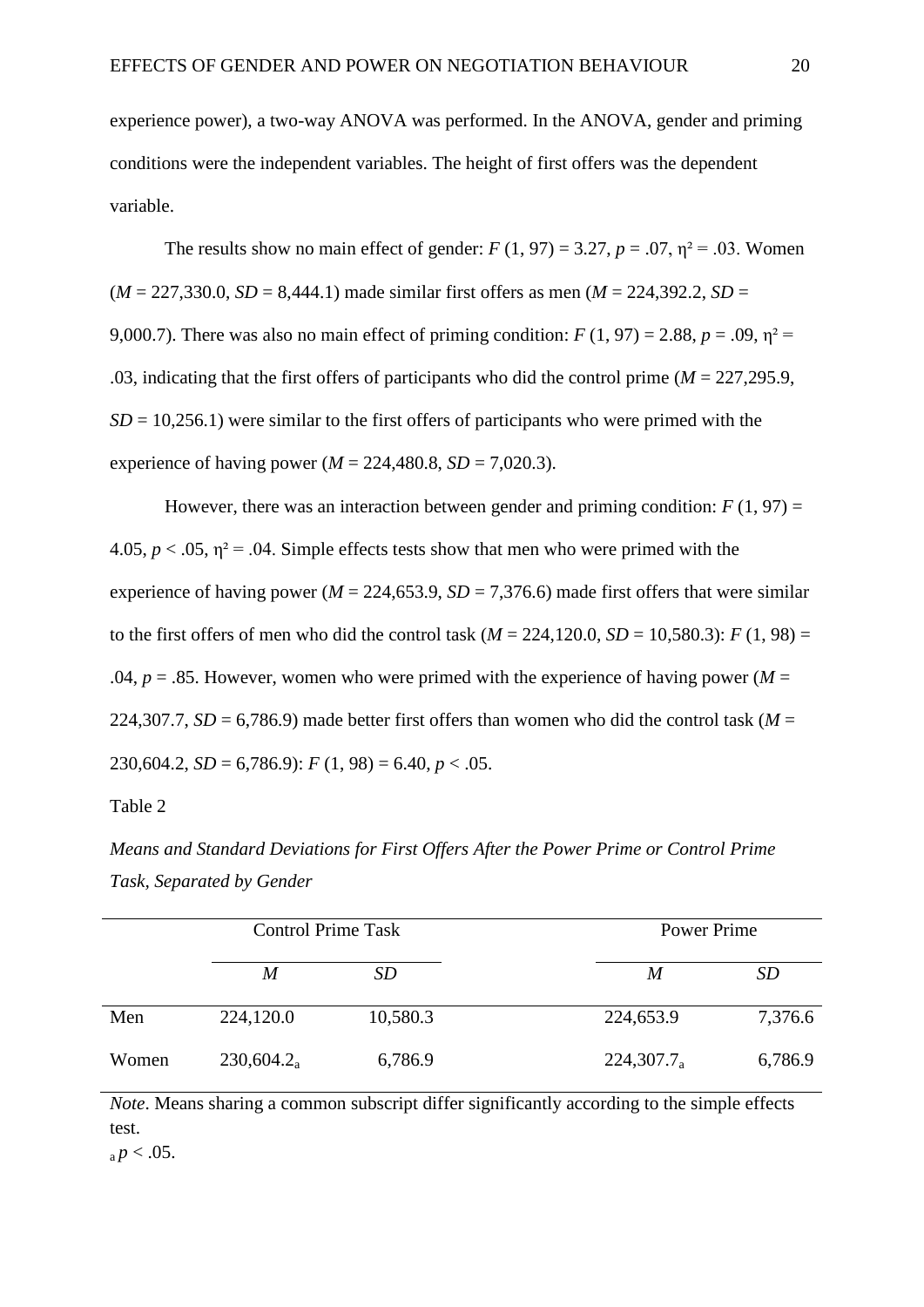experience power), a two-way ANOVA was performed. In the ANOVA, gender and priming conditions were the independent variables. The height of first offers was the dependent variable.

The results show no main effect of gender:  $F(1, 97) = 3.27$ ,  $p = .07$ ,  $p^2 = .03$ . Women  $(M = 227,330.0, SD = 8,444.1)$  made similar first offers as men  $(M = 224,392.2, SD =$ 9,000.7). There was also no main effect of priming condition:  $F(1, 97) = 2.88$ ,  $p = .09$ ,  $p^2 =$ .03, indicating that the first offers of participants who did the control prime (*M* = 227,295.9,  $SD = 10,256.1$ ) were similar to the first offers of participants who were primed with the experience of having power ( $M = 224,480.8$ ,  $SD = 7,020.3$ ).

However, there was an interaction between gender and priming condition:  $F(1, 97) =$ 4.05,  $p < .05$ ,  $n^2 = .04$ . Simple effects tests show that men who were primed with the experience of having power ( $M = 224,653.9$ ,  $SD = 7,376.6$ ) made first offers that were similar to the first offers of men who did the control task  $(M = 224, 120.0, SD = 10,580.3)$ :  $F(1, 98) =$ .04,  $p = 0.85$ . However, women who were primed with the experience of having power ( $M =$ 224,307.7,  $SD = 6,786.9$ ) made better first offers than women who did the control task ( $M =$ 230,604.2,  $SD = 6,786.9$ :  $F(1, 98) = 6.40$ ,  $p < .05$ .

Table 2

*Means and Standard Deviations for First Offers After the Power Prime or Control Prime Task, Separated by Gender*

|       | <b>Control Prime Task</b> |          | Power Prime   |           |
|-------|---------------------------|----------|---------------|-----------|
|       | M                         | SD       | M             | <i>SD</i> |
| Men   | 224,120.0                 | 10,580.3 | 224,653.9     | 7,376.6   |
| Women | $230,604.2_a$             | 6,786.9  | $224,307.7_a$ | 6,786.9   |

*Note*. Means sharing a common subscript differ significantly according to the simple effects test.

 $_{a}p < .05$ .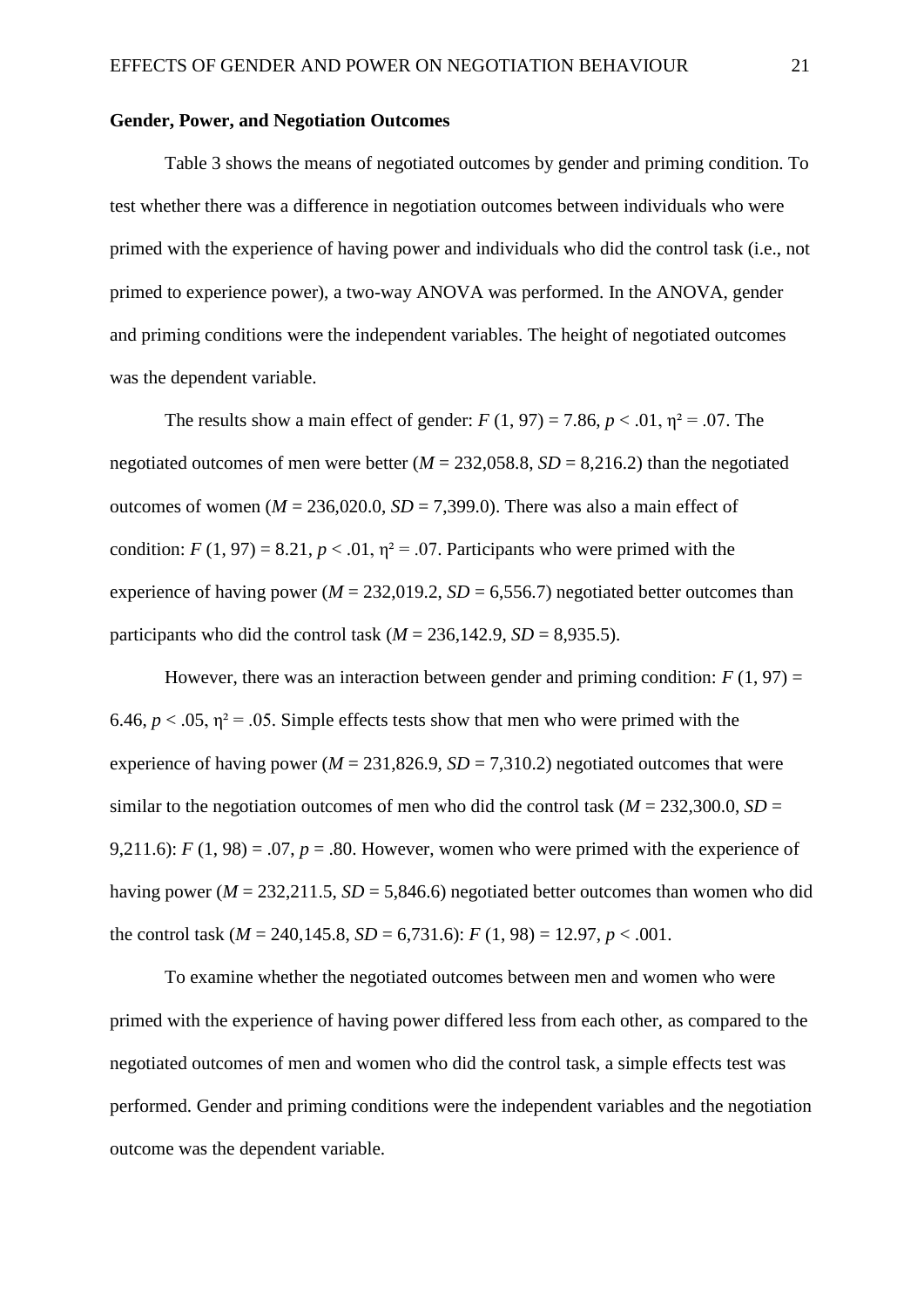## **Gender, Power, and Negotiation Outcomes**

Table 3 shows the means of negotiated outcomes by gender and priming condition. To test whether there was a difference in negotiation outcomes between individuals who were primed with the experience of having power and individuals who did the control task (i.e., not primed to experience power), a two-way ANOVA was performed. In the ANOVA, gender and priming conditions were the independent variables. The height of negotiated outcomes was the dependent variable.

The results show a main effect of gender:  $F(1, 97) = 7.86$ ,  $p < .01$ ,  $\eta^2 = .07$ . The negotiated outcomes of men were better  $(M = 232,058.8, SD = 8,216.2)$  than the negotiated outcomes of women ( $M = 236,020.0$ ,  $SD = 7,399.0$ ). There was also a main effect of condition:  $F(1, 97) = 8.21$ ,  $p < .01$ ,  $\eta^2 = .07$ . Participants who were primed with the experience of having power ( $M = 232,019.2$ ,  $SD = 6,556.7$ ) negotiated better outcomes than participants who did the control task ( $M = 236,142.9$ ,  $SD = 8,935.5$ ).

However, there was an interaction between gender and priming condition:  $F(1, 97) =$ 6.46,  $p < .05$ ,  $\eta^2 = .05$ . Simple effects tests show that men who were primed with the experience of having power ( $M = 231,826.9$ ,  $SD = 7,310.2$ ) negotiated outcomes that were similar to the negotiation outcomes of men who did the control task ( $M = 232,300.0$ ,  $SD =$ 9.211.6):  $F(1, 98) = 0.07$ ,  $p = 0.80$ . However, women who were primed with the experience of having power ( $M = 232,211.5$ ,  $SD = 5,846.6$ ) negotiated better outcomes than women who did the control task  $(M = 240, 145.8, SD = 6,731.6)$ :  $F(1, 98) = 12.97, p < .001$ .

To examine whether the negotiated outcomes between men and women who were primed with the experience of having power differed less from each other, as compared to the negotiated outcomes of men and women who did the control task, a simple effects test was performed. Gender and priming conditions were the independent variables and the negotiation outcome was the dependent variable.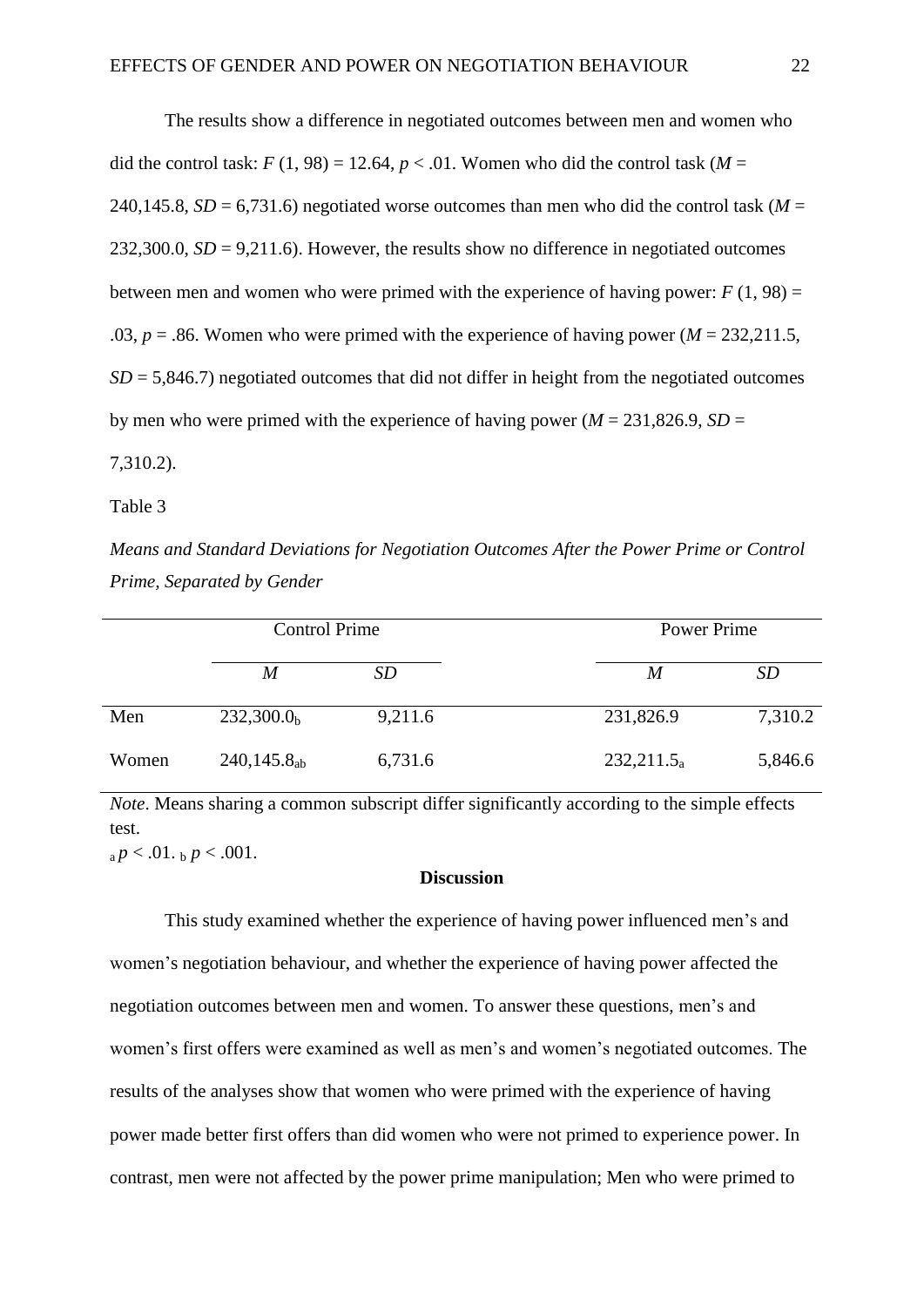The results show a difference in negotiated outcomes between men and women who did the control task:  $F(1, 98) = 12.64$ ,  $p < .01$ . Women who did the control task ( $M =$ 240,145.8,  $SD = 6,731.6$ ) negotiated worse outcomes than men who did the control task ( $M =$ 232,300.0,  $SD = 9,211.6$ ). However, the results show no difference in negotiated outcomes between men and women who were primed with the experience of having power:  $F(1, 98) =$ .03,  $p = 0.86$ . Women who were primed with the experience of having power ( $M = 232.211.5$ ,  $SD = 5,846.7$ ) negotiated outcomes that did not differ in height from the negotiated outcomes by men who were primed with the experience of having power ( $M = 231,826.9$ ,  $SD =$ 7,310.2).

Table 3

*Means and Standard Deviations for Negotiation Outcomes After the Power Prime or Control Prime, Separated by Gender*

|       | <b>Control Prime</b>   |         | Power Prime   |           |  |
|-------|------------------------|---------|---------------|-----------|--|
|       | M                      | SD      | M             | <i>SD</i> |  |
| Men   | 232,300.0 <sub>b</sub> | 9,211.6 | 231,826.9     | 7,310.2   |  |
| Women | $240, 145.8_{ab}$      | 6,731.6 | $232,211.5_a$ | 5,846.6   |  |

*Note*. Means sharing a common subscript differ significantly according to the simple effects test.

 $_{a}p < .01.$ <sub>b</sub>  $p < .001.$ 

## **Discussion**

This study examined whether the experience of having power influenced men"s and women"s negotiation behaviour, and whether the experience of having power affected the negotiation outcomes between men and women. To answer these questions, men"s and women"s first offers were examined as well as men"s and women"s negotiated outcomes. The results of the analyses show that women who were primed with the experience of having power made better first offers than did women who were not primed to experience power. In contrast, men were not affected by the power prime manipulation; Men who were primed to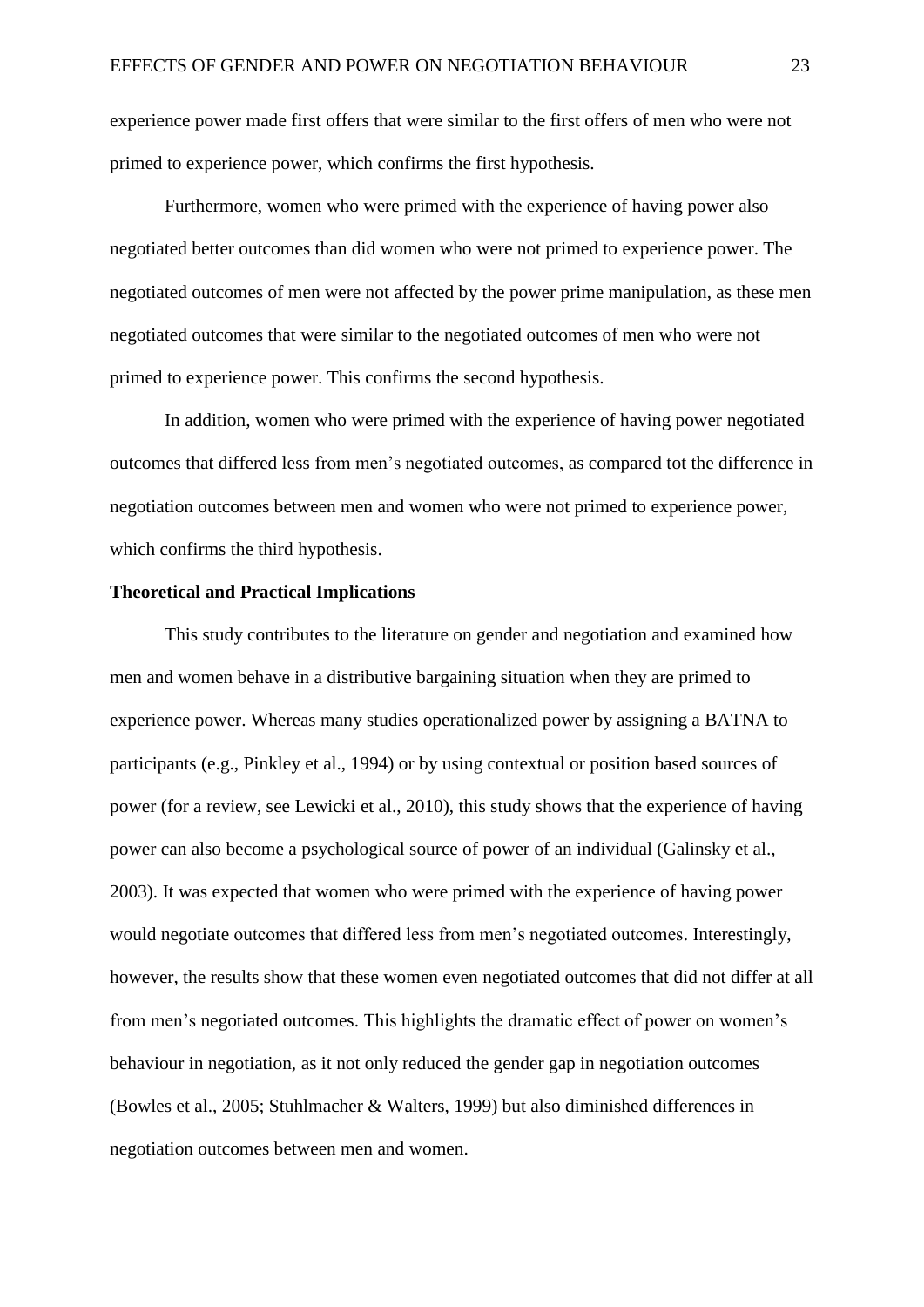experience power made first offers that were similar to the first offers of men who were not primed to experience power, which confirms the first hypothesis.

Furthermore, women who were primed with the experience of having power also negotiated better outcomes than did women who were not primed to experience power. The negotiated outcomes of men were not affected by the power prime manipulation, as these men negotiated outcomes that were similar to the negotiated outcomes of men who were not primed to experience power. This confirms the second hypothesis.

In addition, women who were primed with the experience of having power negotiated outcomes that differed less from men"s negotiated outcomes, as compared tot the difference in negotiation outcomes between men and women who were not primed to experience power, which confirms the third hypothesis.

### **Theoretical and Practical Implications**

This study contributes to the literature on gender and negotiation and examined how men and women behave in a distributive bargaining situation when they are primed to experience power. Whereas many studies operationalized power by assigning a BATNA to participants (e.g., Pinkley et al., 1994) or by using contextual or position based sources of power (for a review, see Lewicki et al., 2010), this study shows that the experience of having power can also become a psychological source of power of an individual (Galinsky et al., 2003). It was expected that women who were primed with the experience of having power would negotiate outcomes that differed less from men"s negotiated outcomes. Interestingly, however, the results show that these women even negotiated outcomes that did not differ at all from men's negotiated outcomes. This highlights the dramatic effect of power on women's behaviour in negotiation, as it not only reduced the gender gap in negotiation outcomes (Bowles et al., 2005; Stuhlmacher & Walters, 1999) but also diminished differences in negotiation outcomes between men and women.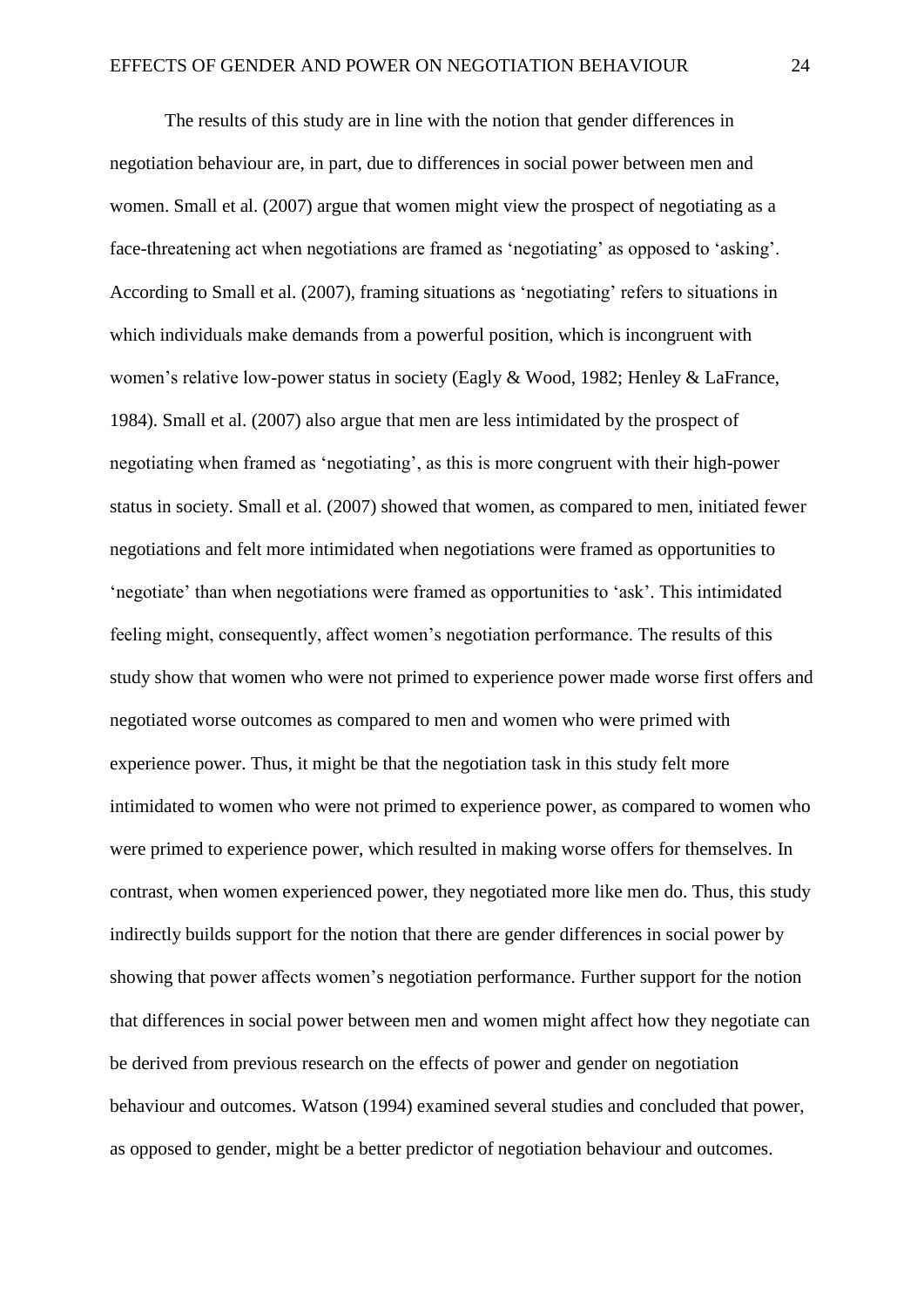The results of this study are in line with the notion that gender differences in negotiation behaviour are, in part, due to differences in social power between men and women. Small et al. (2007) argue that women might view the prospect of negotiating as a face-threatening act when negotiations are framed as 'negotiating' as opposed to 'asking'. According to Small et al. (2007), framing situations as "negotiating" refers to situations in which individuals make demands from a powerful position, which is incongruent with women's relative low-power status in society (Eagly & Wood, 1982; Henley & LaFrance, 1984). Small et al. (2007) also argue that men are less intimidated by the prospect of negotiating when framed as "negotiating", as this is more congruent with their high-power status in society. Small et al. (2007) showed that women, as compared to men, initiated fewer negotiations and felt more intimidated when negotiations were framed as opportunities to "negotiate" than when negotiations were framed as opportunities to "ask". This intimidated feeling might, consequently, affect women"s negotiation performance. The results of this study show that women who were not primed to experience power made worse first offers and negotiated worse outcomes as compared to men and women who were primed with experience power. Thus, it might be that the negotiation task in this study felt more intimidated to women who were not primed to experience power, as compared to women who were primed to experience power, which resulted in making worse offers for themselves. In contrast, when women experienced power, they negotiated more like men do. Thus, this study indirectly builds support for the notion that there are gender differences in social power by showing that power affects women"s negotiation performance. Further support for the notion that differences in social power between men and women might affect how they negotiate can be derived from previous research on the effects of power and gender on negotiation behaviour and outcomes. Watson (1994) examined several studies and concluded that power, as opposed to gender, might be a better predictor of negotiation behaviour and outcomes.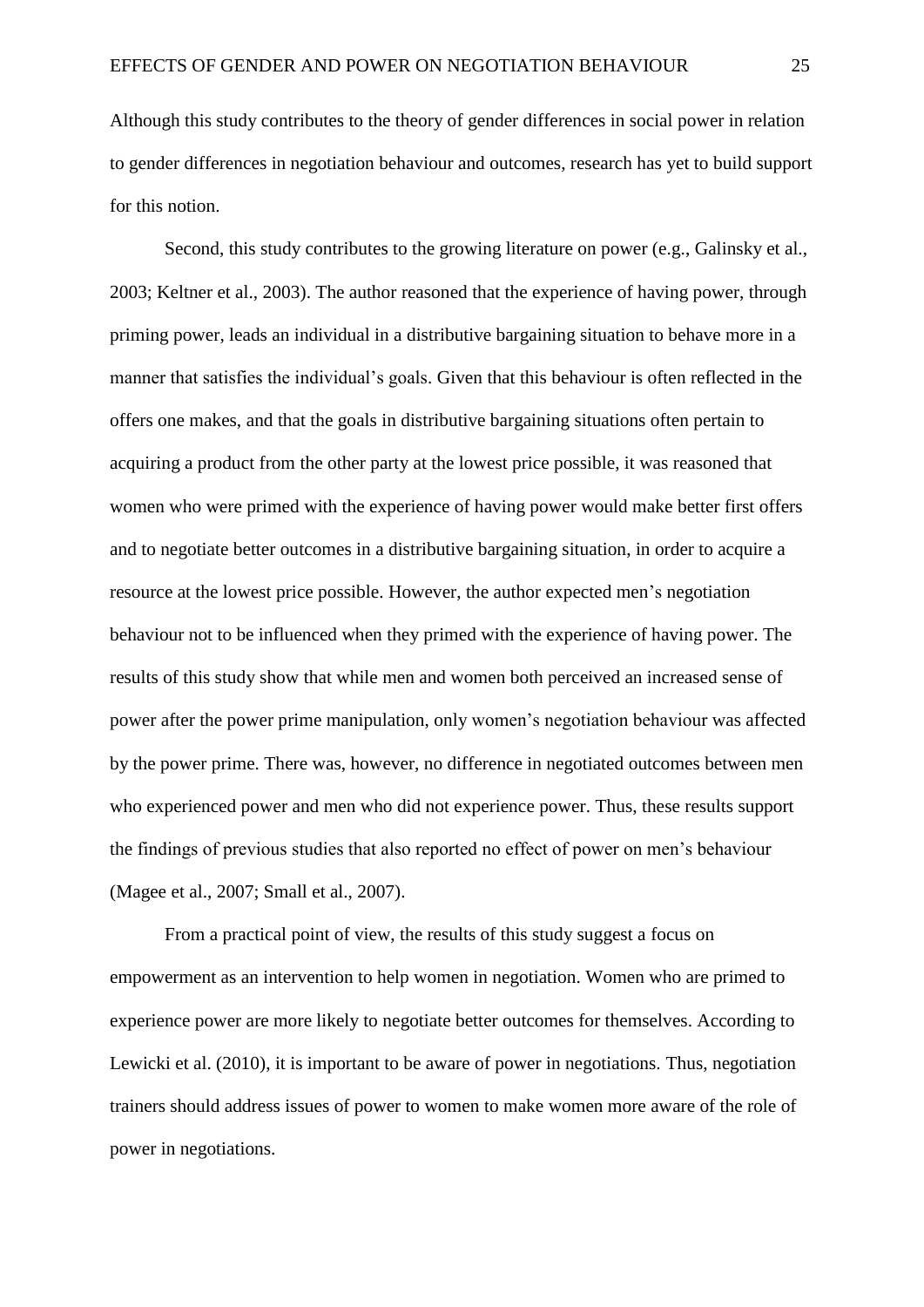Although this study contributes to the theory of gender differences in social power in relation to gender differences in negotiation behaviour and outcomes, research has yet to build support for this notion.

Second, this study contributes to the growing literature on power (e.g., Galinsky et al., 2003; Keltner et al., 2003). The author reasoned that the experience of having power, through priming power, leads an individual in a distributive bargaining situation to behave more in a manner that satisfies the individual"s goals. Given that this behaviour is often reflected in the offers one makes, and that the goals in distributive bargaining situations often pertain to acquiring a product from the other party at the lowest price possible, it was reasoned that women who were primed with the experience of having power would make better first offers and to negotiate better outcomes in a distributive bargaining situation, in order to acquire a resource at the lowest price possible. However, the author expected men"s negotiation behaviour not to be influenced when they primed with the experience of having power. The results of this study show that while men and women both perceived an increased sense of power after the power prime manipulation, only women"s negotiation behaviour was affected by the power prime. There was, however, no difference in negotiated outcomes between men who experienced power and men who did not experience power. Thus, these results support the findings of previous studies that also reported no effect of power on men"s behaviour (Magee et al., 2007; Small et al., 2007).

From a practical point of view, the results of this study suggest a focus on empowerment as an intervention to help women in negotiation. Women who are primed to experience power are more likely to negotiate better outcomes for themselves. According to Lewicki et al. (2010), it is important to be aware of power in negotiations. Thus, negotiation trainers should address issues of power to women to make women more aware of the role of power in negotiations.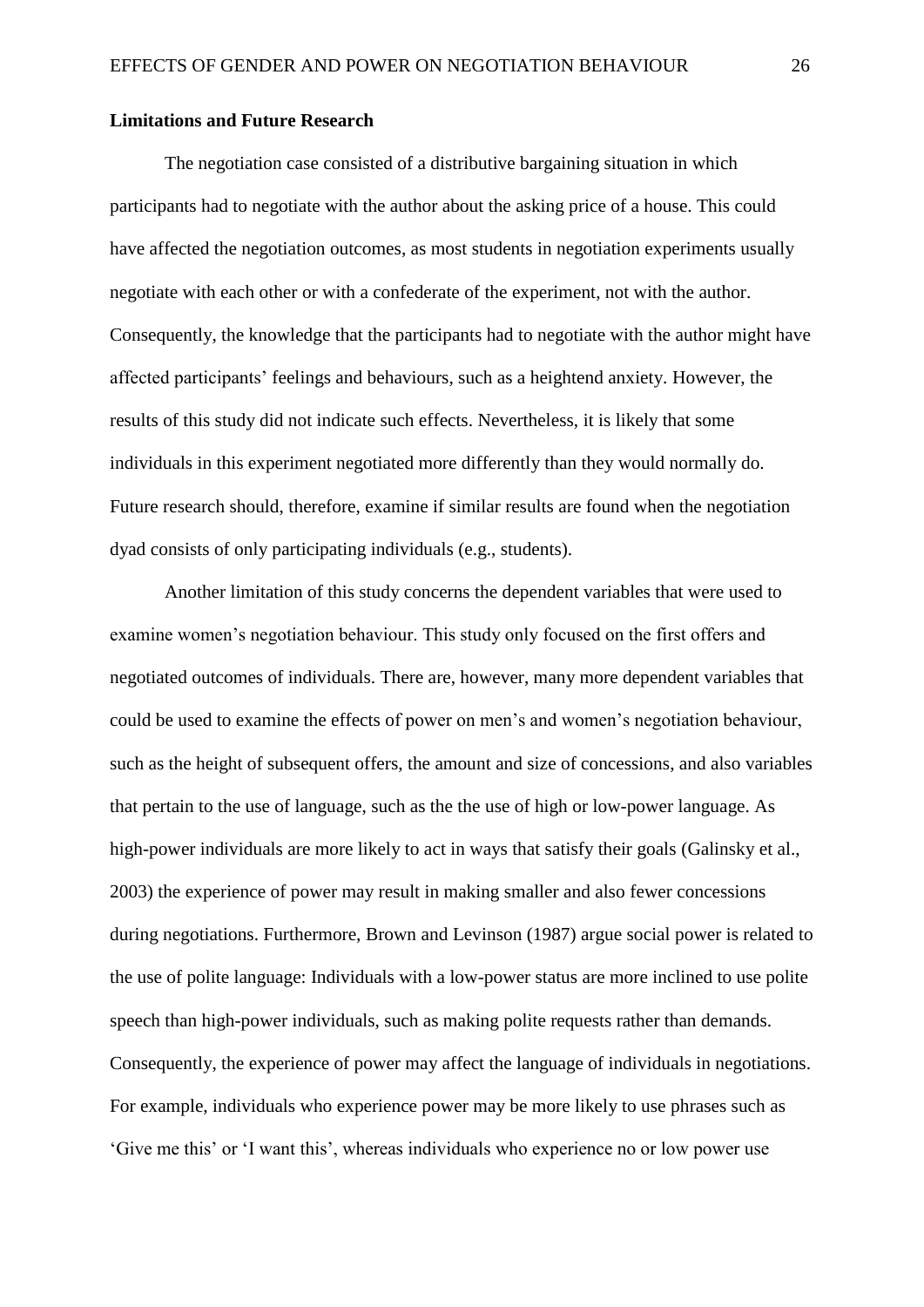## **Limitations and Future Research**

The negotiation case consisted of a distributive bargaining situation in which participants had to negotiate with the author about the asking price of a house. This could have affected the negotiation outcomes, as most students in negotiation experiments usually negotiate with each other or with a confederate of the experiment, not with the author. Consequently, the knowledge that the participants had to negotiate with the author might have affected participants" feelings and behaviours, such as a heightend anxiety. However, the results of this study did not indicate such effects. Nevertheless, it is likely that some individuals in this experiment negotiated more differently than they would normally do. Future research should, therefore, examine if similar results are found when the negotiation dyad consists of only participating individuals (e.g., students).

Another limitation of this study concerns the dependent variables that were used to examine women"s negotiation behaviour. This study only focused on the first offers and negotiated outcomes of individuals. There are, however, many more dependent variables that could be used to examine the effects of power on men"s and women"s negotiation behaviour, such as the height of subsequent offers, the amount and size of concessions, and also variables that pertain to the use of language, such as the the use of high or low-power language. As high-power individuals are more likely to act in ways that satisfy their goals (Galinsky et al., 2003) the experience of power may result in making smaller and also fewer concessions during negotiations. Furthermore, Brown and Levinson (1987) argue social power is related to the use of polite language: Individuals with a low-power status are more inclined to use polite speech than high-power individuals, such as making polite requests rather than demands. Consequently, the experience of power may affect the language of individuals in negotiations. For example, individuals who experience power may be more likely to use phrases such as "Give me this" or "I want this", whereas individuals who experience no or low power use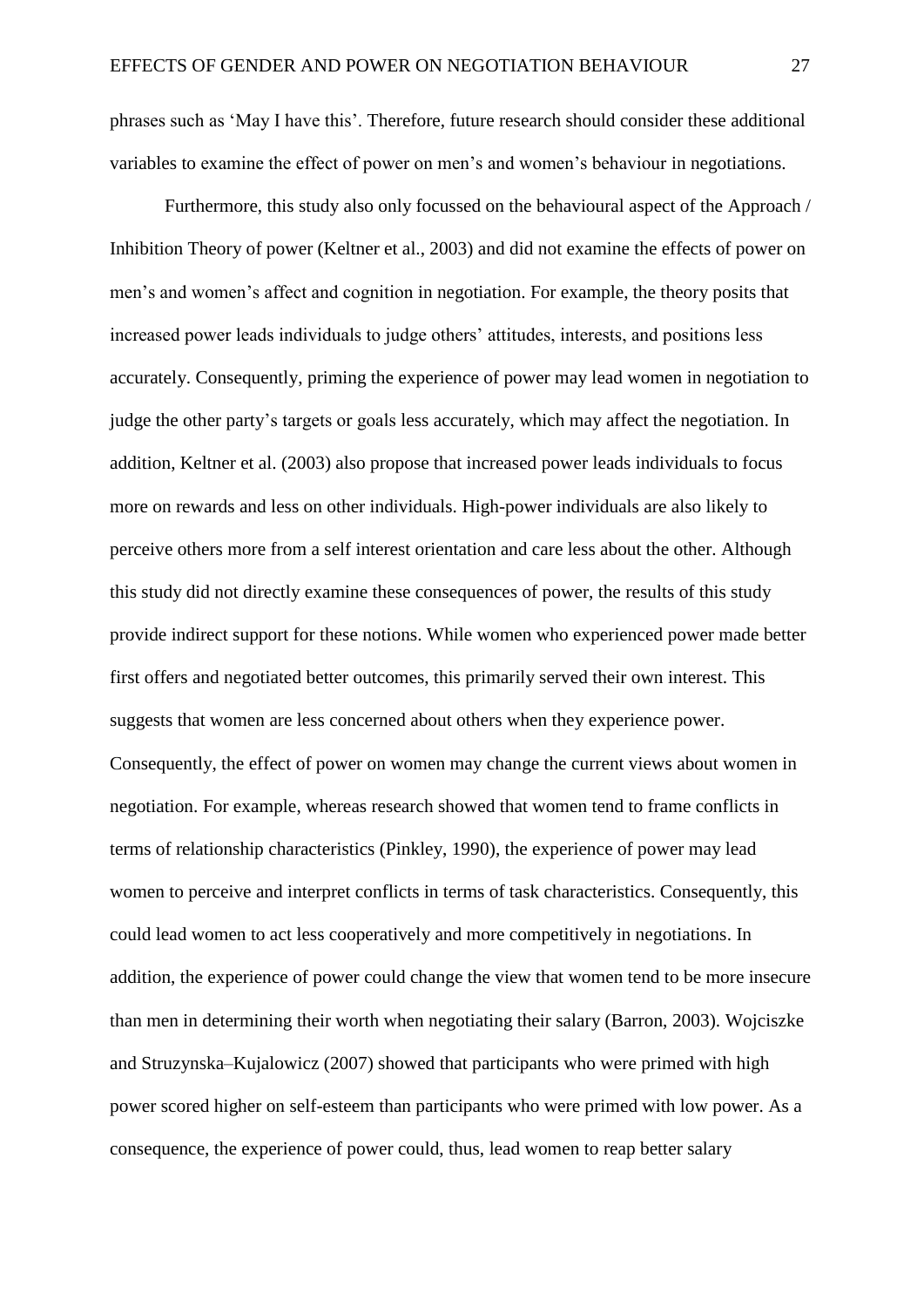phrases such as "May I have this". Therefore, future research should consider these additional variables to examine the effect of power on men's and women's behaviour in negotiations.

Furthermore, this study also only focussed on the behavioural aspect of the Approach / Inhibition Theory of power (Keltner et al., 2003) and did not examine the effects of power on men"s and women"s affect and cognition in negotiation. For example, the theory posits that increased power leads individuals to judge others' attitudes, interests, and positions less accurately. Consequently, priming the experience of power may lead women in negotiation to judge the other party"s targets or goals less accurately, which may affect the negotiation. In addition, Keltner et al. (2003) also propose that increased power leads individuals to focus more on rewards and less on other individuals. High-power individuals are also likely to perceive others more from a self interest orientation and care less about the other. Although this study did not directly examine these consequences of power, the results of this study provide indirect support for these notions. While women who experienced power made better first offers and negotiated better outcomes, this primarily served their own interest. This suggests that women are less concerned about others when they experience power. Consequently, the effect of power on women may change the current views about women in negotiation. For example, whereas research showed that women tend to frame conflicts in terms of relationship characteristics (Pinkley, 1990), the experience of power may lead women to perceive and interpret conflicts in terms of task characteristics. Consequently, this could lead women to act less cooperatively and more competitively in negotiations. In addition, the experience of power could change the view that women tend to be more insecure than men in determining their worth when negotiating their salary (Barron, 2003). Wojciszke and Struzynska–Kujalowicz (2007) showed that participants who were primed with high power scored higher on self-esteem than participants who were primed with low power. As a consequence, the experience of power could, thus, lead women to reap better salary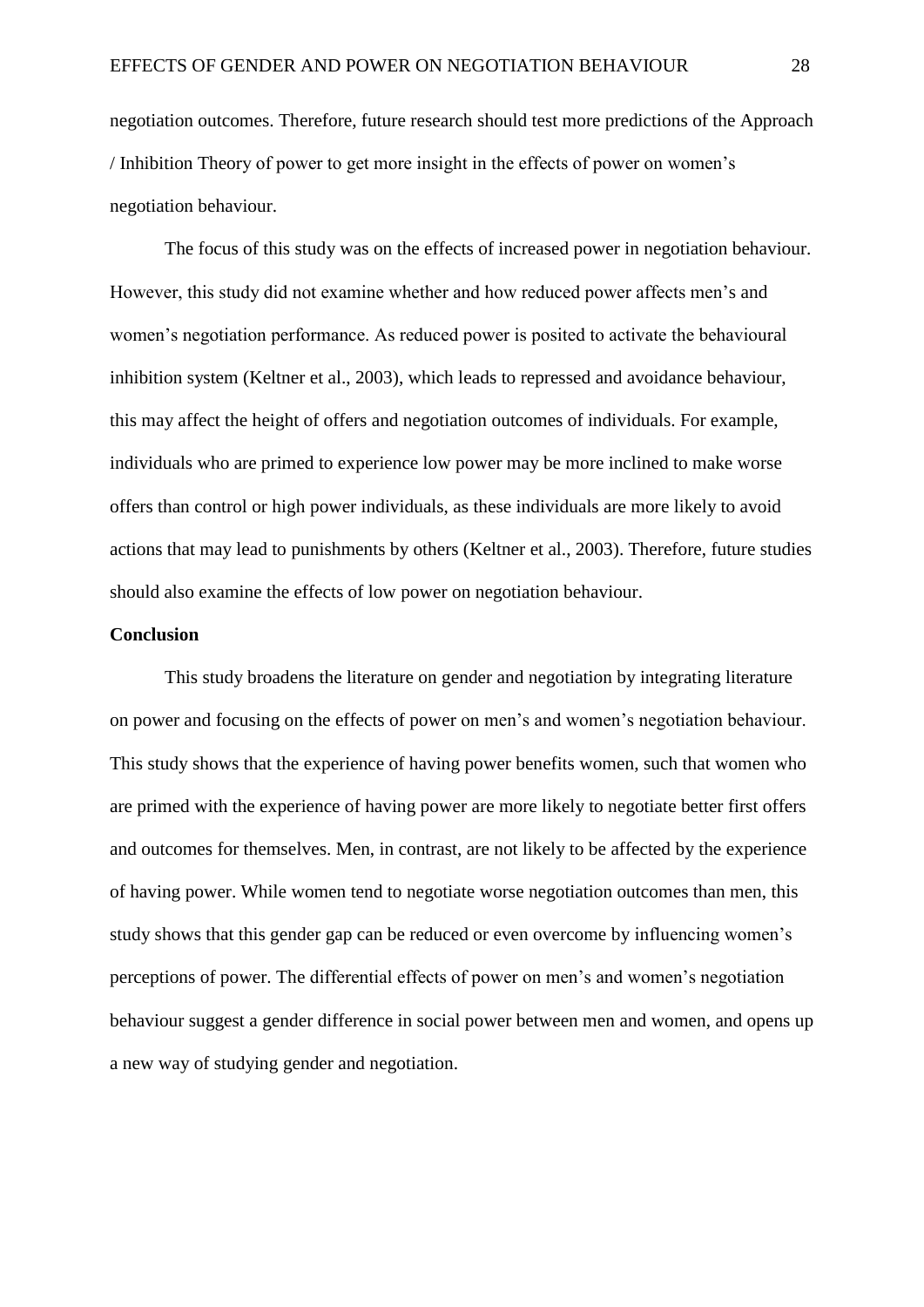negotiation outcomes. Therefore, future research should test more predictions of the Approach / Inhibition Theory of power to get more insight in the effects of power on women"s negotiation behaviour.

The focus of this study was on the effects of increased power in negotiation behaviour. However, this study did not examine whether and how reduced power affects men"s and women"s negotiation performance. As reduced power is posited to activate the behavioural inhibition system (Keltner et al., 2003), which leads to repressed and avoidance behaviour, this may affect the height of offers and negotiation outcomes of individuals. For example, individuals who are primed to experience low power may be more inclined to make worse offers than control or high power individuals, as these individuals are more likely to avoid actions that may lead to punishments by others (Keltner et al., 2003). Therefore, future studies should also examine the effects of low power on negotiation behaviour.

### **Conclusion**

This study broadens the literature on gender and negotiation by integrating literature on power and focusing on the effects of power on men"s and women"s negotiation behaviour. This study shows that the experience of having power benefits women, such that women who are primed with the experience of having power are more likely to negotiate better first offers and outcomes for themselves. Men, in contrast, are not likely to be affected by the experience of having power. While women tend to negotiate worse negotiation outcomes than men, this study shows that this gender gap can be reduced or even overcome by influencing women"s perceptions of power. The differential effects of power on men"s and women"s negotiation behaviour suggest a gender difference in social power between men and women, and opens up a new way of studying gender and negotiation.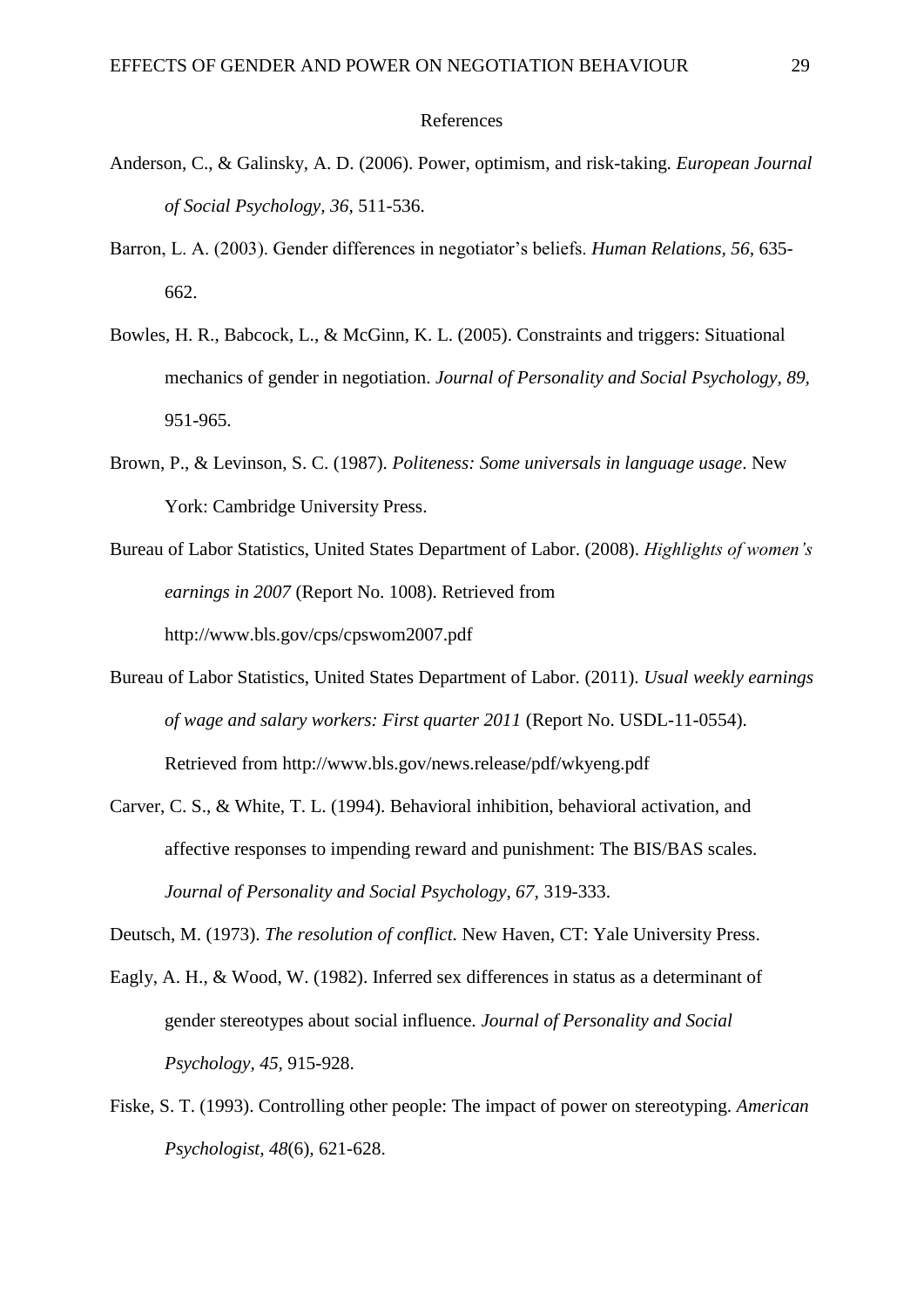#### References

- Anderson, C., & Galinsky, A. D. (2006). Power, optimism, and risk-taking. *European Journal of Social Psychology, 36,* 511-536.
- Barron, L. A. (2003). Gender differences in negotiator"s beliefs. *Human Relations, 56,* 635- 662.
- Bowles, H. R., Babcock, L., & McGinn, K. L. (2005). Constraints and triggers: Situational mechanics of gender in negotiation. *Journal of Personality and Social Psychology, 89,* 951-965.
- Brown, P., & Levinson, S. C. (1987). *Politeness: Some universals in language usage*. New York: Cambridge University Press.
- Bureau of Labor Statistics, United States Department of Labor. (2008). *Highlights of women's earnings in 2007* (Report No. 1008). Retrieved from http://www.bls.gov/cps/cpswom2007.pdf
- Bureau of Labor Statistics, United States Department of Labor. (2011). *Usual weekly earnings of wage and salary workers: First quarter 2011* (Report No. USDL-11-0554). Retrieved from http://www.bls.gov/news.release/pdf/wkyeng.pdf
- Carver, C. S., & White, T. L. (1994). Behavioral inhibition, behavioral activation, and affective responses to impending reward and punishment: The BIS/BAS scales. *Journal of Personality and Social Psychology, 67,* 319-333.

Deutsch, M. (1973). *The resolution of conflict.* New Haven, CT: Yale University Press.

- Eagly, A. H., & Wood, W. (1982). Inferred sex differences in status as a determinant of gender stereotypes about social influence. *Journal of Personality and Social Psychology, 45,* 915-928.
- Fiske, S. T. (1993). Controlling other people: The impact of power on stereotyping. *American Psychologist, 48*(6)*,* 621-628.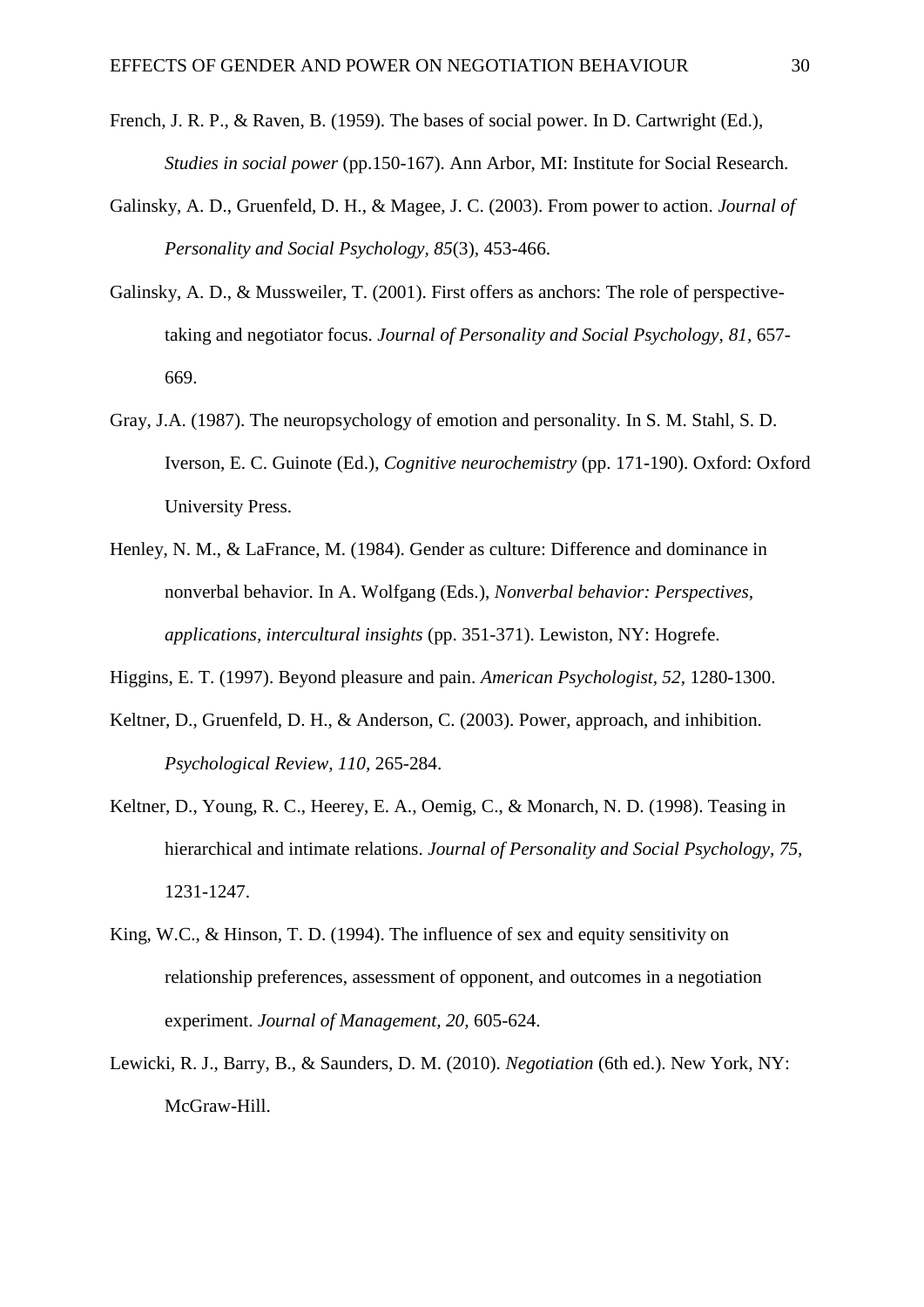- French, J. R. P., & Raven, B. (1959). The bases of social power. In D. Cartwright (Ed.), *Studies in social power* (pp.150-167). Ann Arbor, MI: Institute for Social Research.
- Galinsky, A. D., Gruenfeld, D. H., & Magee, J. C. (2003). From power to action. *Journal of Personality and Social Psychology, 85*(3)*,* 453-466.
- Galinsky, A. D., & Mussweiler, T. (2001). First offers as anchors: The role of perspectivetaking and negotiator focus. *Journal of Personality and Social Psychology, 81,* 657- 669.
- Gray, J.A. (1987). The neuropsychology of emotion and personality. In S. M. Stahl, S. D. Iverson, E. C. Guinote (Ed.), *Cognitive neurochemistry* (pp. 171-190). Oxford: Oxford University Press.
- Henley, N. M., & LaFrance, M. (1984). Gender as culture: Difference and dominance in nonverbal behavior. In A. Wolfgang (Eds.), *Nonverbal behavior: Perspectives, applications, intercultural insights* (pp. 351-371). Lewiston, NY: Hogrefe.
- Higgins, E. T. (1997). Beyond pleasure and pain. *American Psychologist, 52,* 1280-1300.
- Keltner, D., Gruenfeld, D. H., & Anderson, C. (2003). Power, approach, and inhibition. *Psychological Review, 110,* 265-284.
- Keltner, D., Young, R. C., Heerey, E. A., Oemig, C., & Monarch, N. D. (1998). Teasing in hierarchical and intimate relations. *Journal of Personality and Social Psychology, 75,* 1231-1247.
- King, W.C., & Hinson, T. D. (1994). The influence of sex and equity sensitivity on relationship preferences, assessment of opponent, and outcomes in a negotiation experiment. *Journal of Management, 20,* 605-624.
- Lewicki, R. J., Barry, B., & Saunders, D. M. (2010). *Negotiation* (6th ed.). New York, NY: McGraw-Hill.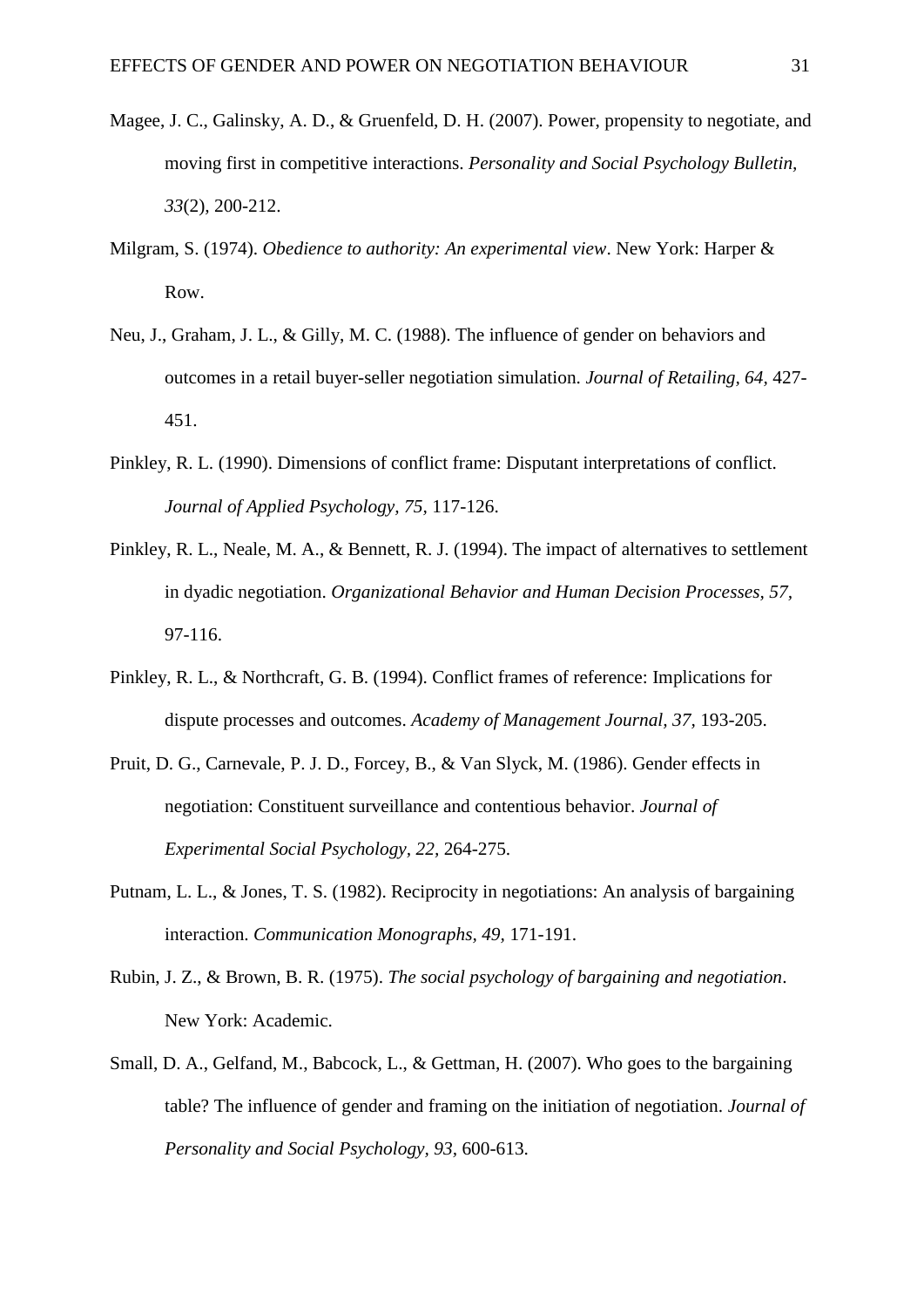- Magee, J. C., Galinsky, A. D., & Gruenfeld, D. H. (2007). Power, propensity to negotiate, and moving first in competitive interactions. *Personality and Social Psychology Bulletin, 33*(2)*,* 200-212.
- Milgram, S. (1974). *Obedience to authority: An experimental view*. New York: Harper & Row.
- Neu, J., Graham, J. L., & Gilly, M. C. (1988). The influence of gender on behaviors and outcomes in a retail buyer-seller negotiation simulation. *Journal of Retailing, 64,* 427- 451.
- Pinkley, R. L. (1990). Dimensions of conflict frame: Disputant interpretations of conflict. *Journal of Applied Psychology, 75,* 117-126.
- Pinkley, R. L., Neale, M. A., & Bennett, R. J. (1994). The impact of alternatives to settlement in dyadic negotiation. *Organizational Behavior and Human Decision Processes, 57,*  97-116.
- Pinkley, R. L., & Northcraft, G. B. (1994). Conflict frames of reference: Implications for dispute processes and outcomes. *Academy of Management Journal, 37,* 193-205.
- Pruit, D. G., Carnevale, P. J. D., Forcey, B., & Van Slyck, M. (1986). Gender effects in negotiation: Constituent surveillance and contentious behavior. *Journal of Experimental Social Psychology, 22,* 264-275.
- Putnam, L. L., & Jones, T. S. (1982). Reciprocity in negotiations: An analysis of bargaining interaction. *Communication Monographs, 49,* 171-191.
- Rubin, J. Z., & Brown, B. R. (1975). *The social psychology of bargaining and negotiation*. New York: Academic.
- Small, D. A., Gelfand, M., Babcock, L., & Gettman, H. (2007). Who goes to the bargaining table? The influence of gender and framing on the initiation of negotiation. *Journal of Personality and Social Psychology, 93,* 600-613.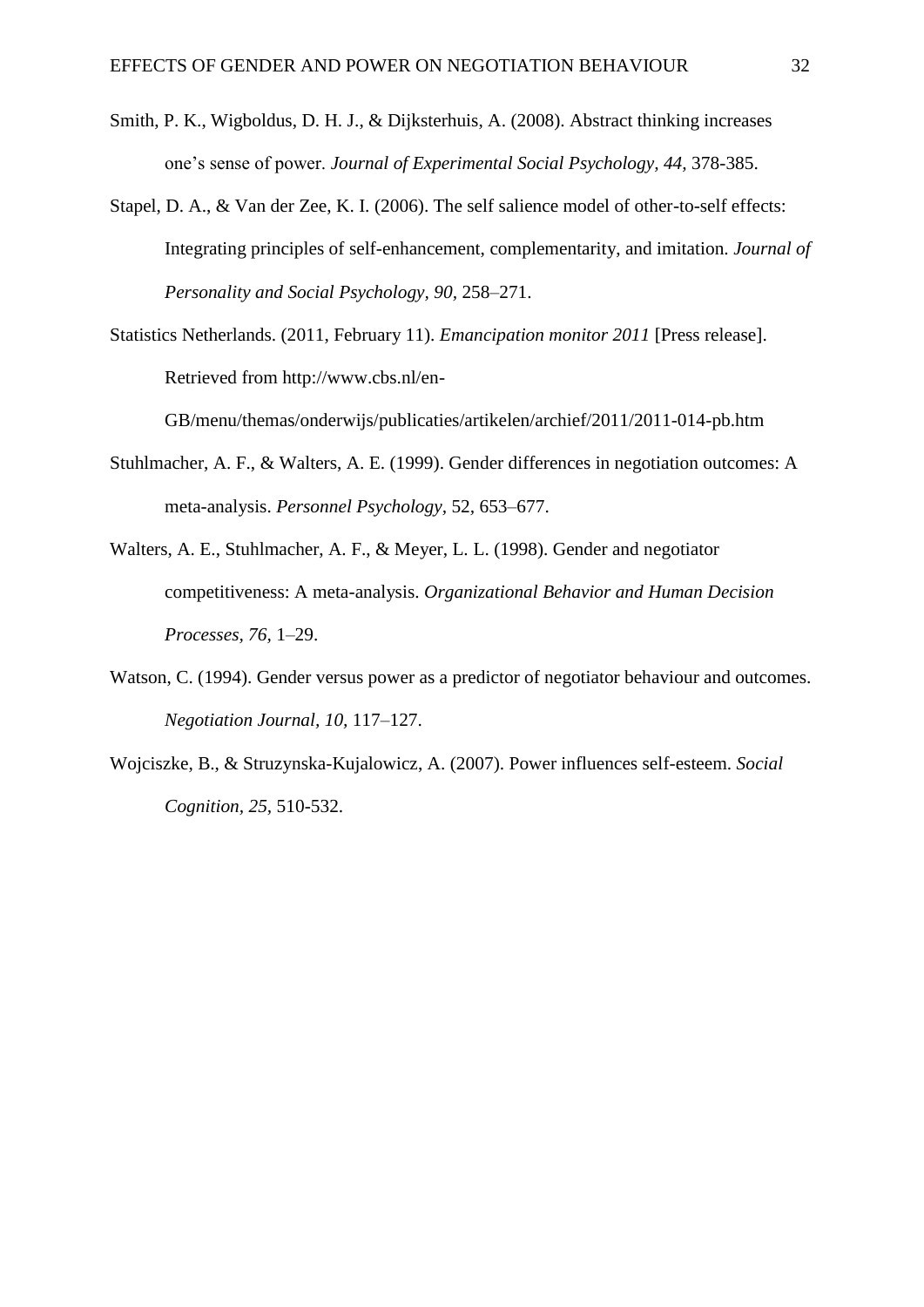- Smith, P. K., Wigboldus, D. H. J., & Dijksterhuis, A. (2008). Abstract thinking increases one"s sense of power. *Journal of Experimental Social Psychology, 44,* 378-385.
- Stapel, D. A., & Van der Zee, K. I. (2006). The self salience model of other-to-self effects: Integrating principles of self-enhancement, complementarity, and imitation. *Journal of Personality and Social Psychology, 90,* 258–271.
- Statistics Netherlands. (2011, February 11). *Emancipation monitor 2011* [Press release]. Retrieved from http://www.cbs.nl/en-

GB/menu/themas/onderwijs/publicaties/artikelen/archief/2011/2011-014-pb.htm

- Stuhlmacher, A. F., & Walters, A. E. (1999). Gender differences in negotiation outcomes: A meta-analysis. *Personnel Psychology,* 52*,* 653–677.
- Walters, A. E., Stuhlmacher, A. F., & Meyer, L. L. (1998). Gender and negotiator competitiveness: A meta-analysis. *Organizational Behavior and Human Decision Processes, 76,* 1–29.
- Watson, C. (1994). Gender versus power as a predictor of negotiator behaviour and outcomes. *Negotiation Journal, 10,* 117–127.
- Wojciszke, B., & Struzynska-Kujalowicz, A. (2007). Power influences self-esteem. *Social Cognition, 25,* 510-532.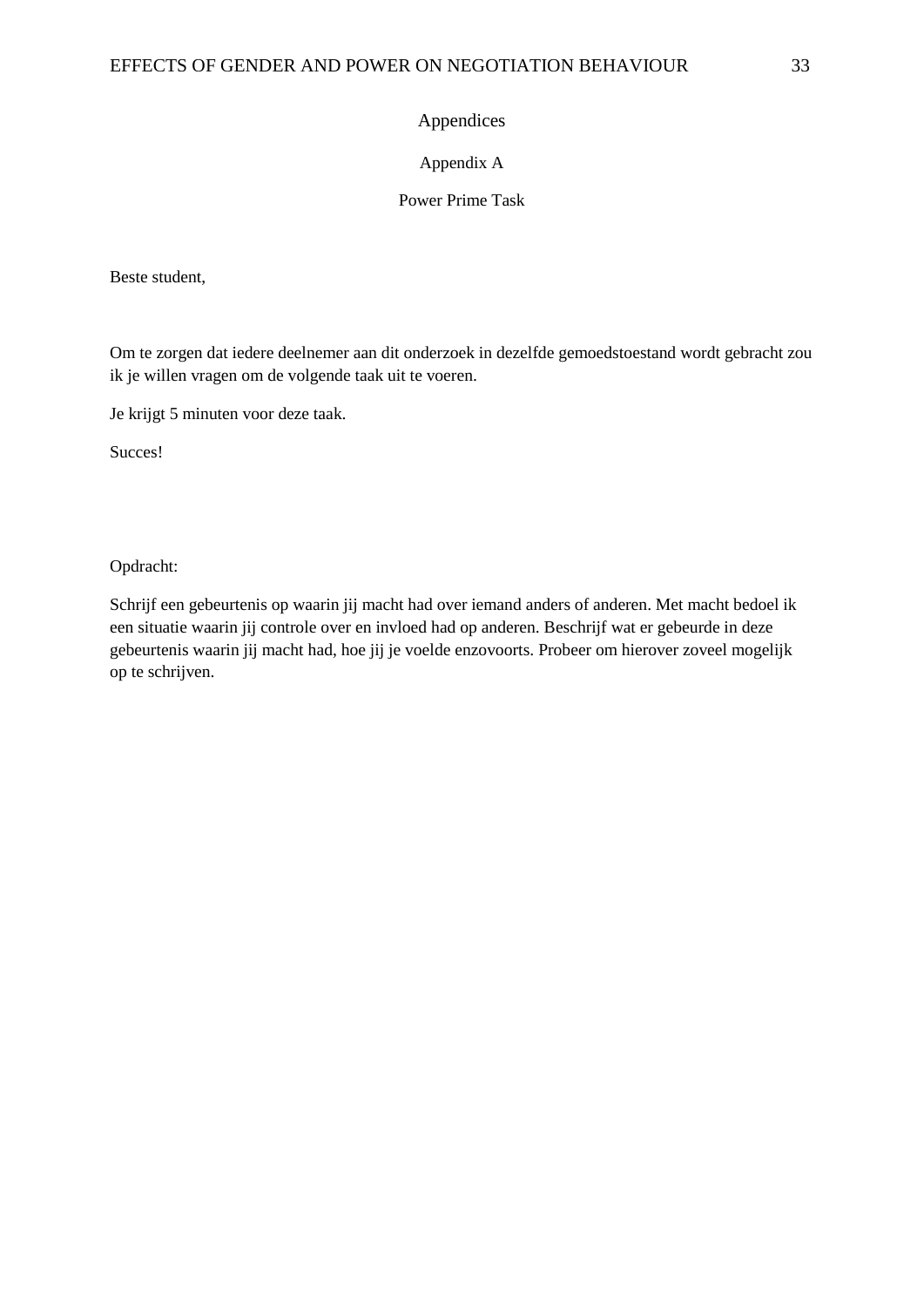## Appendices

## Appendix A

## Power Prime Task

Beste student,

Om te zorgen dat iedere deelnemer aan dit onderzoek in dezelfde gemoedstoestand wordt gebracht zou ik je willen vragen om de volgende taak uit te voeren.

Je krijgt 5 minuten voor deze taak.

Succes!

Opdracht:

Schrijf een gebeurtenis op waarin jij macht had over iemand anders of anderen. Met macht bedoel ik een situatie waarin jij controle over en invloed had op anderen. Beschrijf wat er gebeurde in deze gebeurtenis waarin jij macht had, hoe jij je voelde enzovoorts. Probeer om hierover zoveel mogelijk op te schrijven.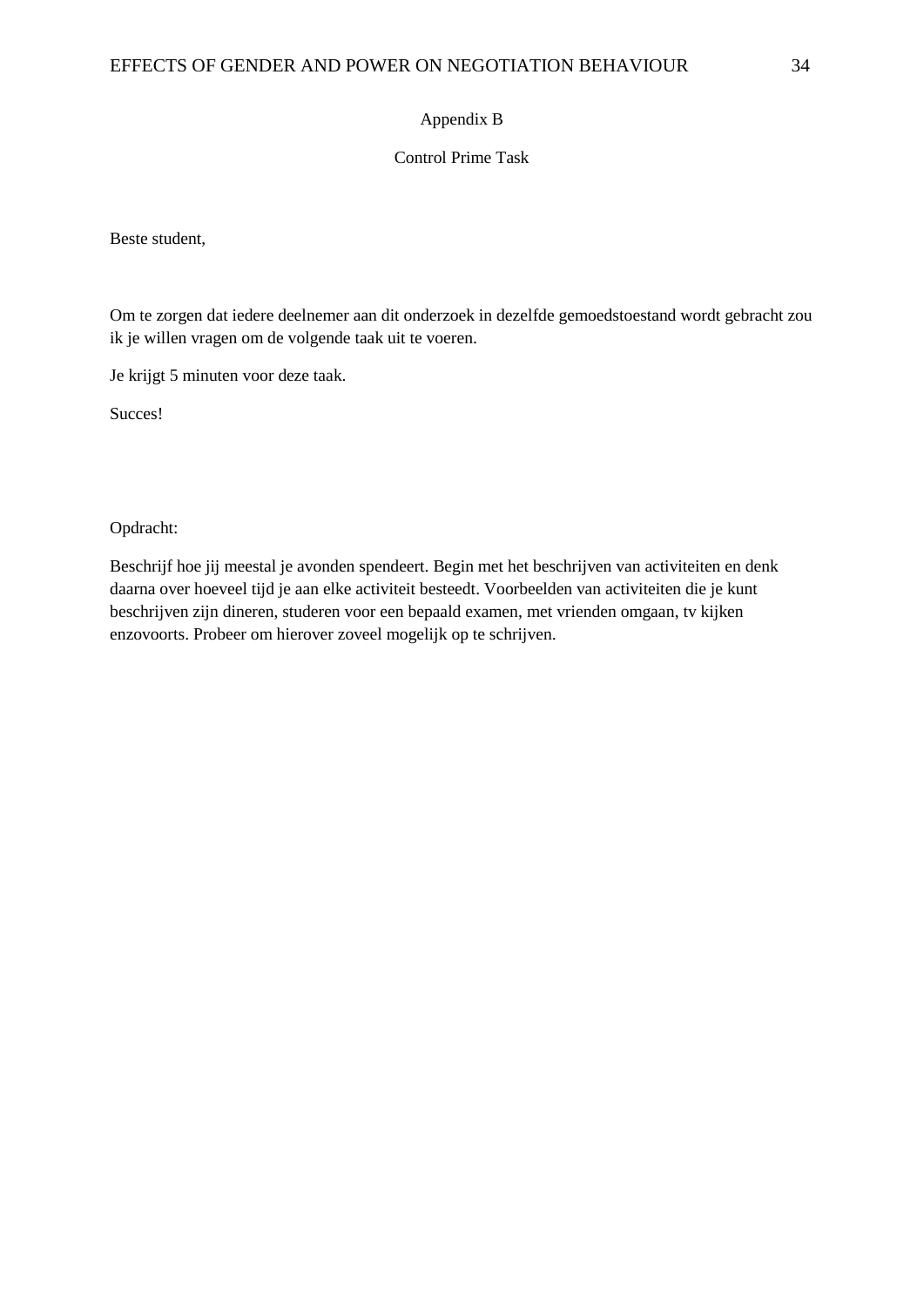## Appendix B

## Control Prime Task

Beste student,

Om te zorgen dat iedere deelnemer aan dit onderzoek in dezelfde gemoedstoestand wordt gebracht zou ik je willen vragen om de volgende taak uit te voeren.

Je krijgt 5 minuten voor deze taak.

Succes!

Opdracht:

Beschrijf hoe jij meestal je avonden spendeert. Begin met het beschrijven van activiteiten en denk daarna over hoeveel tijd je aan elke activiteit besteedt. Voorbeelden van activiteiten die je kunt beschrijven zijn dineren, studeren voor een bepaald examen, met vrienden omgaan, tv kijken enzovoorts. Probeer om hierover zoveel mogelijk op te schrijven.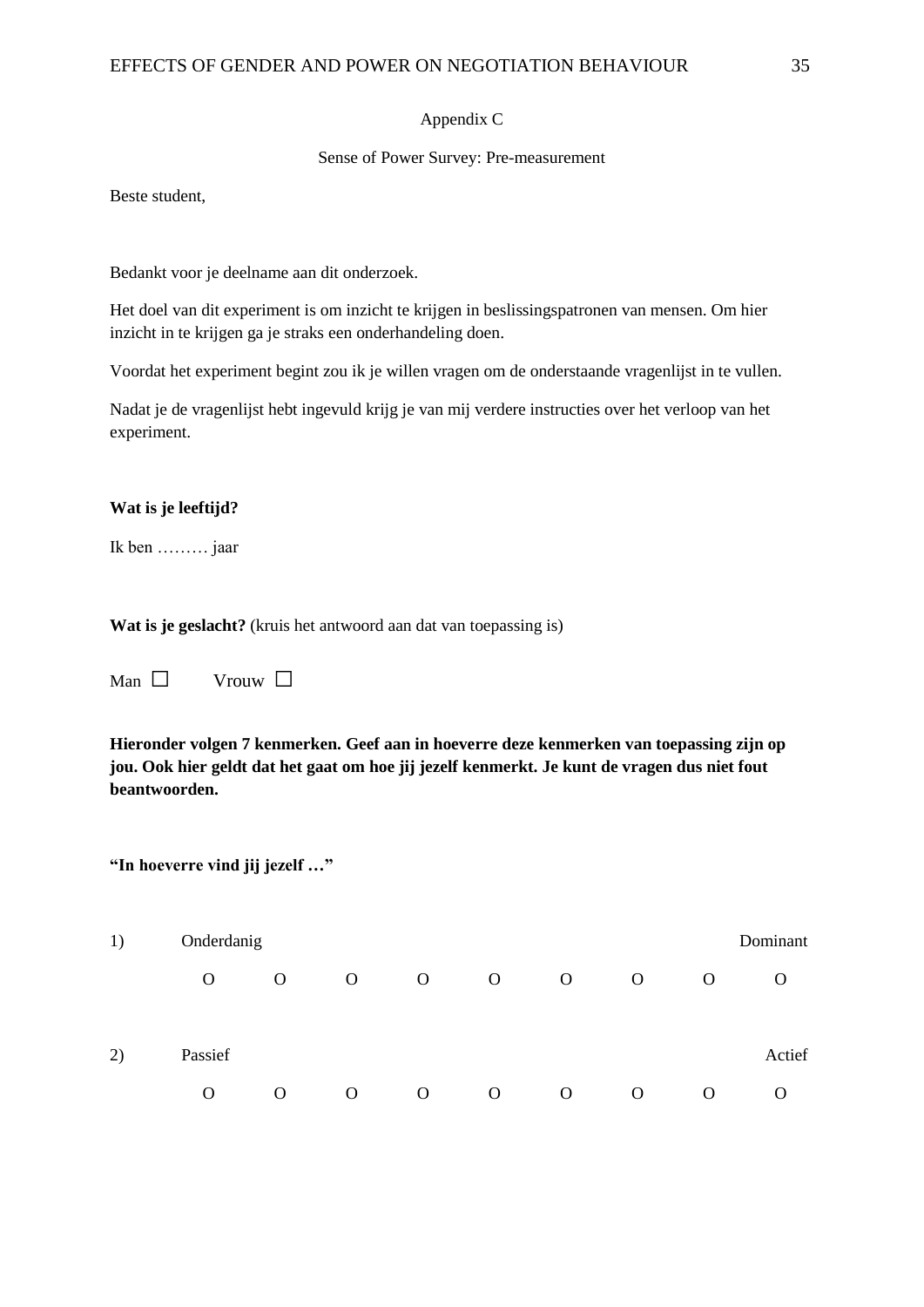## Appendix C

#### Sense of Power Survey: Pre-measurement

Beste student,

Bedankt voor je deelname aan dit onderzoek.

Het doel van dit experiment is om inzicht te krijgen in beslissingspatronen van mensen. Om hier inzicht in te krijgen ga je straks een onderhandeling doen.

Voordat het experiment begint zou ik je willen vragen om de onderstaande vragenlijst in te vullen.

Nadat je de vragenlijst hebt ingevuld krijg je van mij verdere instructies over het verloop van het experiment.

### **Wat is je leeftijd?**

Ik ben ……… jaar

**Wat is je geslacht?** (kruis het antwoord aan dat van toepassing is)

| Man $\Box$ | Vrouw $\Box$ |  |
|------------|--------------|--|
|            |              |  |

**Hieronder volgen 7 kenmerken. Geef aan in hoeverre deze kenmerken van toepassing zijn op jou. Ook hier geldt dat het gaat om hoe jij jezelf kenmerkt. Je kunt de vragen dus niet fout beantwoorden.**

## **"In hoeverre vind jij jezelf …"**

| 1) | Onderdanig   |          |              |              |              |                |          | Dominant |        |
|----|--------------|----------|--------------|--------------|--------------|----------------|----------|----------|--------|
|    | $\mathbf{O}$ | $\Omega$ | $\mathbf{O}$ | $\mathbf{O}$ | $\mathbf{O}$ | $\overline{O}$ | $\Omega$ | $\Omega$ | O      |
| 2) | Passief      |          |              |              |              |                |          |          | Actief |
|    | $\mathbf{O}$ | $\Omega$ | $\mathbf{O}$ | $\Omega$     | $\mathbf{O}$ | $\mathbf{O}$   | $\Omega$ | $\Omega$ | O      |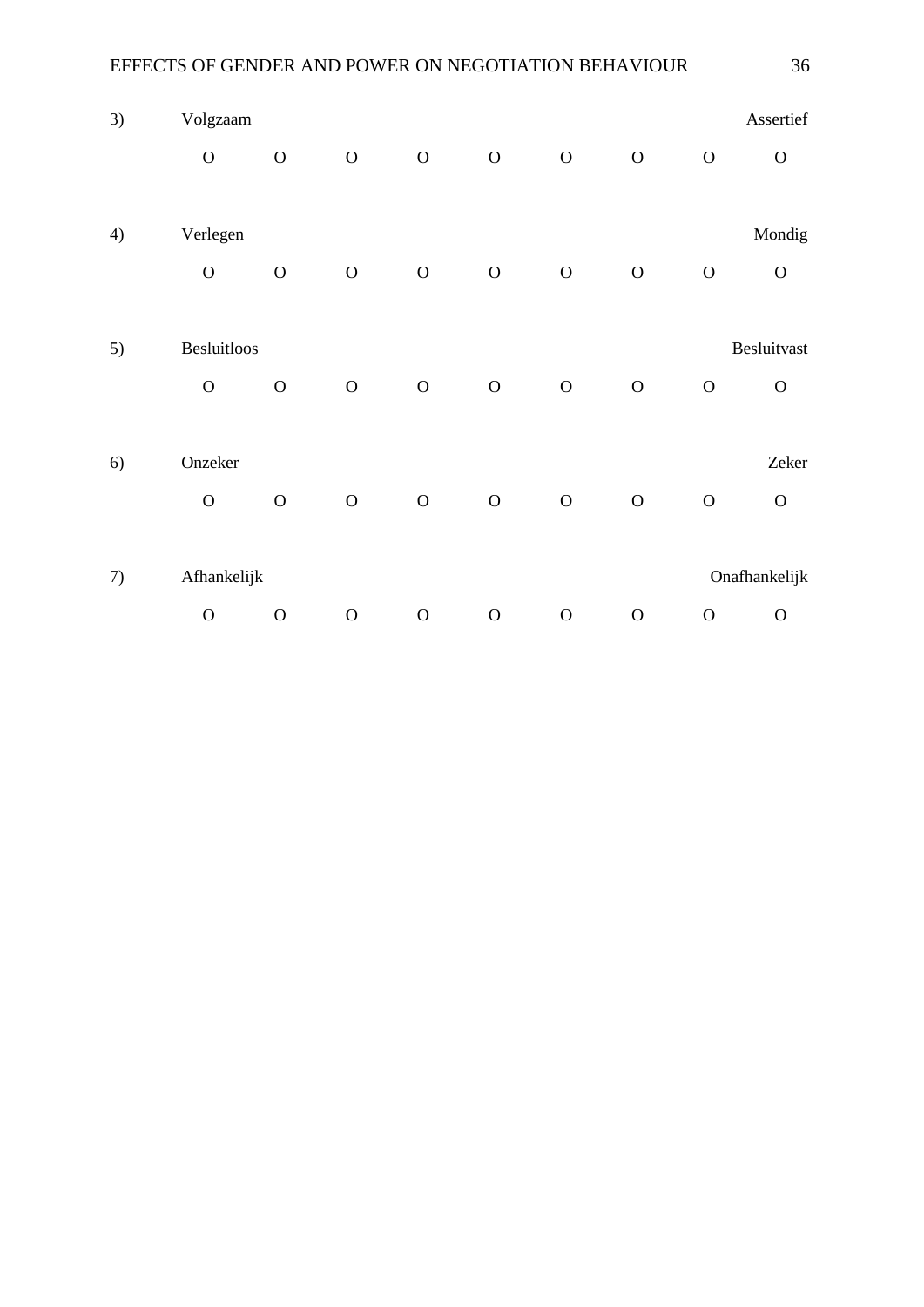# EFFECTS OF GENDER AND POWER ON NEGOTIATION BEHAVIOUR 36

| 3) | Volgzaam    |              |           |              |              |                |               |              | Assertief     |
|----|-------------|--------------|-----------|--------------|--------------|----------------|---------------|--------------|---------------|
|    | ${\rm O}$   | $\mathcal O$ | ${\bf O}$ | ${\bf O}$    | ${\bf O}$    | ${\bf O}$      | $\mathbf O$   | ${\bf O}$    | $\mathbf O$   |
| 4) | Verlegen    |              |           |              |              |                |               |              | Mondig        |
|    | ${\bf O}$   | ${\bf O}$    | ${\bf O}$ | $\mathbf O$  | ${\bf O}$    | ${\mathcal O}$ | $\mathcal{O}$ | ${\bf O}$    | $\mathbf O$   |
| 5) | Besluitloos |              |           |              |              |                |               |              | Besluitvast   |
|    | ${\rm O}$   | ${\rm O}$    | ${\bf O}$ | $\mathcal O$ | ${\bf O}$    | ${\rm O}$      | $\mathbf O$   | $\mathcal O$ | $\mathcal O$  |
| 6) | Onzeker     |              |           |              |              |                |               |              | Zeker         |
|    | ${\bf O}$   | $\mathbf{O}$ | ${\bf O}$ | $\mathbf{O}$ | ${\bf O}$    | ${\rm O}$      | $\mathcal{O}$ | $\mathcal O$ | $\mathbf O$   |
| 7) | Afhankelijk |              |           |              |              |                |               |              | Onafhankelijk |
|    | ${\bf O}$   | ${\rm O}$    | ${\rm O}$ | $\mathcal O$ | $\mathcal O$ | ${\bf O}$      | $\mathbf O$   | $\mathbf{O}$ | $\mathcal O$  |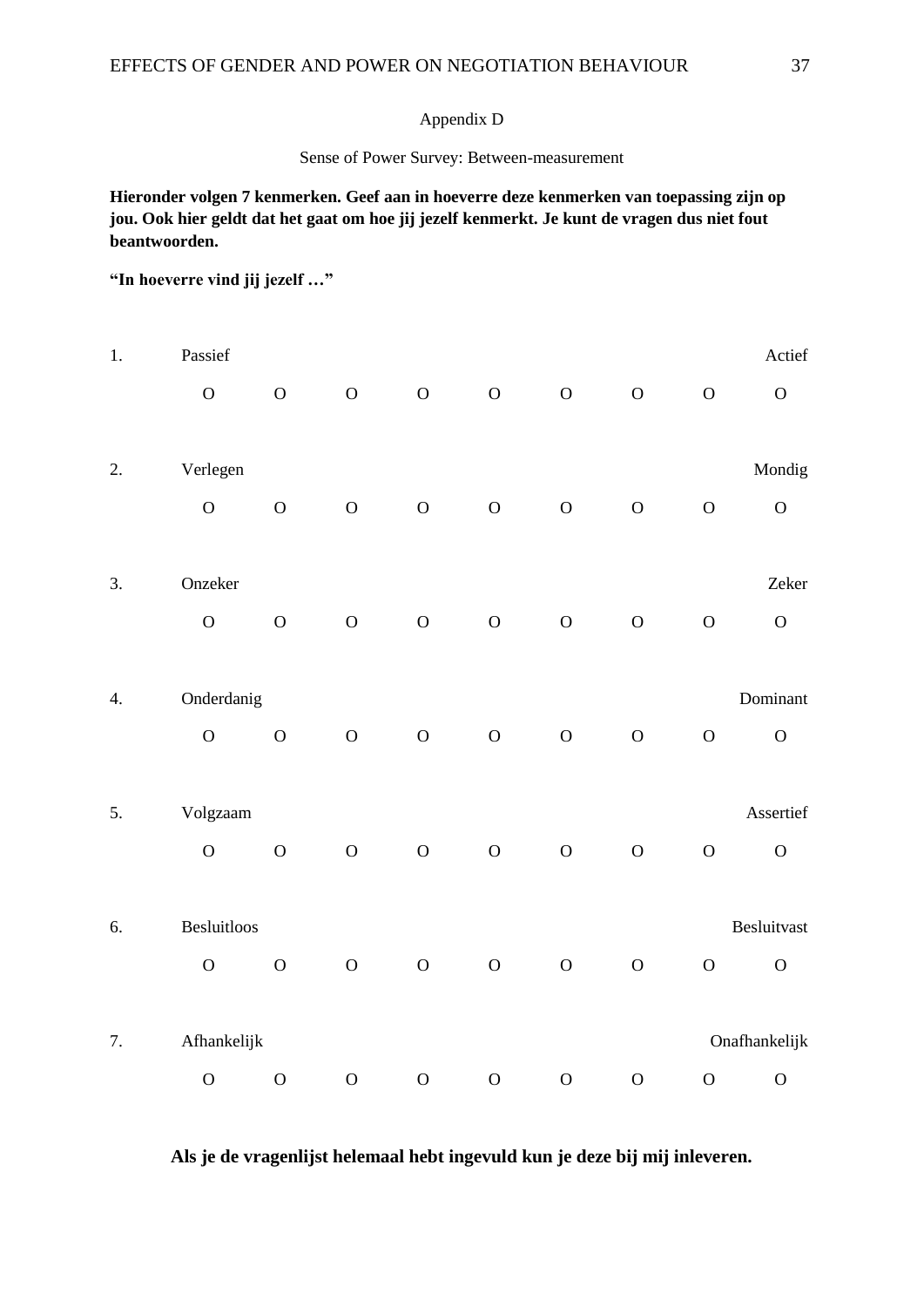## Appendix D

Sense of Power Survey: Between-measurement

**Hieronder volgen 7 kenmerken. Geef aan in hoeverre deze kenmerken van toepassing zijn op jou. Ook hier geldt dat het gaat om hoe jij jezelf kenmerkt. Je kunt de vragen dus niet fout beantwoorden.**

**"In hoeverre vind jij jezelf …"**

| $1.$ | Passief            |                |                |                |                |                |                |                | Actief             |
|------|--------------------|----------------|----------------|----------------|----------------|----------------|----------------|----------------|--------------------|
|      | $\mathcal O$       | $\overline{O}$ | $\overline{O}$ | $\overline{O}$ | $\mathbf O$    | $\overline{O}$ | $\overline{O}$ | $\overline{O}$ | $\overline{O}$     |
| 2.   | Verlegen           |                |                |                |                |                |                |                | Mondig             |
|      | $\mathbf{O}$       | $\overline{O}$ | $\overline{O}$ | $\mathcal{O}$  | $\mathcal O$   | $\mathcal O$   | $\mathbf{O}$   | $\mathbf{O}$   | ${\rm O}$          |
| 3.   | Onzeker            |                |                |                |                |                |                |                | Zeker              |
|      | $\mathbf O$        | $\overline{O}$ | $\overline{O}$ | $\overline{O}$ | $\mathcal O$   | $\mathbf O$    | $\overline{O}$ | $\mathcal O$   | ${\bf O}$          |
| 4.   | Onderdanig         |                |                |                |                |                |                |                | Dominant           |
|      | $\mathbf{O}$       | $\overline{O}$ | $\mathbf{O}$   | $\mathbf{O}$   | ${\bf O}$      | $\mathcal O$   | $\mathbf{O}$   | $\mathbf{O}$   | $\mathcal O$       |
| 5.   | Volgzaam           |                |                |                |                |                |                |                | Assertief          |
|      | $\overline{O}$     | $\overline{O}$ | $\overline{O}$ | $\overline{O}$ | $\overline{O}$ | $\overline{O}$ | $\overline{O}$ | $\mathcal O$   | $\mathbf{O}$       |
| 6.   | <b>Besluitloos</b> |                |                |                |                |                |                |                | <b>Besluitvast</b> |
|      | $\overline{O}$     | $\overline{O}$ | $\overline{O}$ | $\overline{O}$ | $\overline{O}$ | $\mathcal O$   | $\mathcal O$   | $\mathbf{O}$   | $\mathcal O$       |
| 7.   | Afhankelijk        |                |                |                |                |                |                |                | Onafhankelijk      |
|      | ${\bf O}$          | $\mathcal{O}$  | $\mathcal{O}$  | ${\bf O}$      | ${\bf O}$      | ${\rm O}$      | $\mathbf{O}$   | ${\bf O}$      | $\mathbf O$        |

**Als je de vragenlijst helemaal hebt ingevuld kun je deze bij mij inleveren.**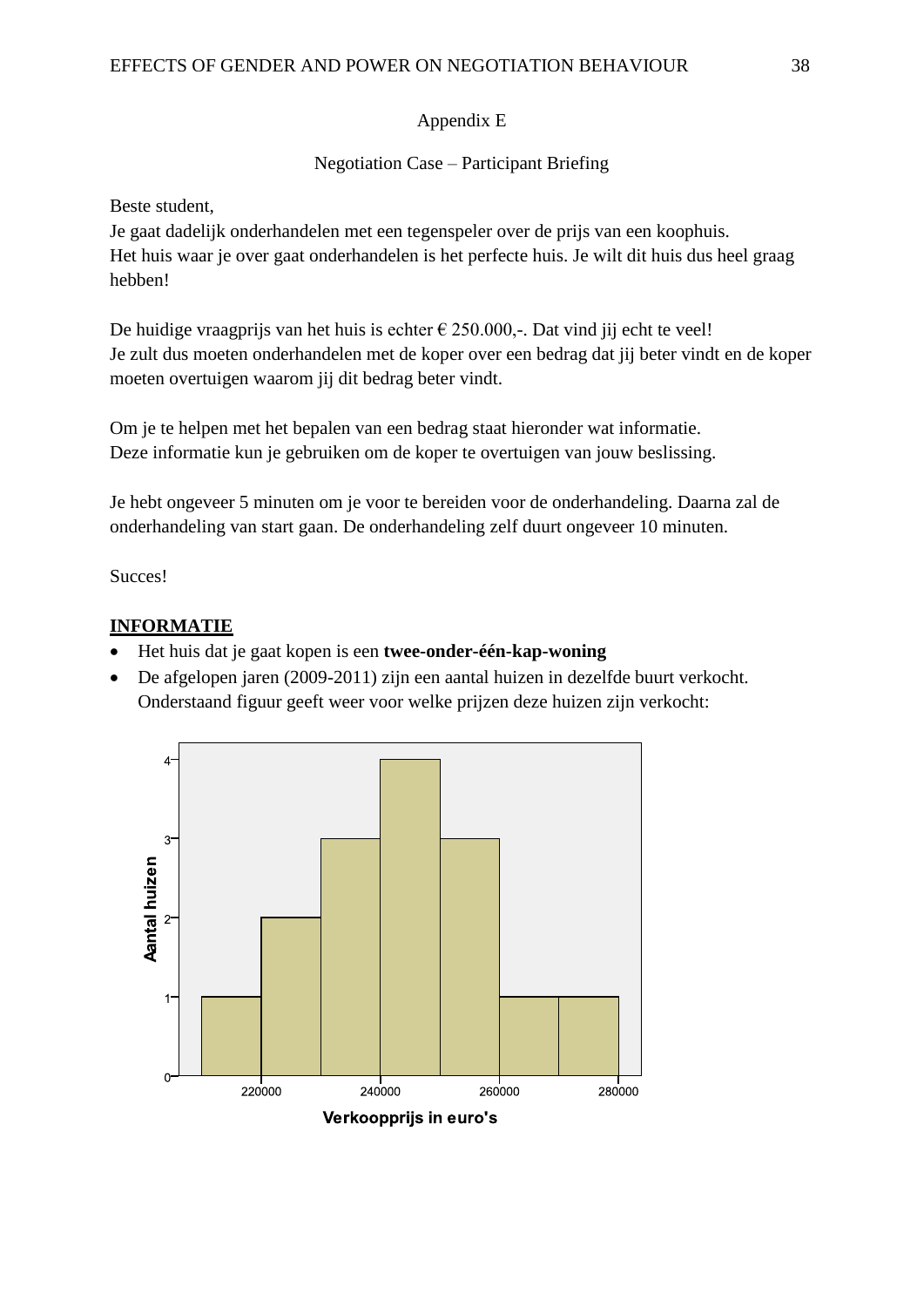## Appendix E

## Negotiation Case – Participant Briefing

Beste student,

Je gaat dadelijk onderhandelen met een tegenspeler over de prijs van een koophuis. Het huis waar je over gaat onderhandelen is het perfecte huis. Je wilt dit huis dus heel graag hebben!

De huidige vraagprijs van het huis is echter € 250.000,-. Dat vind jij echt te veel! Je zult dus moeten onderhandelen met de koper over een bedrag dat jij beter vindt en de koper moeten overtuigen waarom jij dit bedrag beter vindt.

Om je te helpen met het bepalen van een bedrag staat hieronder wat informatie. Deze informatie kun je gebruiken om de koper te overtuigen van jouw beslissing.

Je hebt ongeveer 5 minuten om je voor te bereiden voor de onderhandeling. Daarna zal de onderhandeling van start gaan. De onderhandeling zelf duurt ongeveer 10 minuten.

Succes!

## **INFORMATIE**

- Het huis dat je gaat kopen is een **twee-onder-één-kap-woning**
- De afgelopen jaren (2009-2011) zijn een aantal huizen in dezelfde buurt verkocht. Onderstaand figuur geeft weer voor welke prijzen deze huizen zijn verkocht:



Verkoopprijs in euro's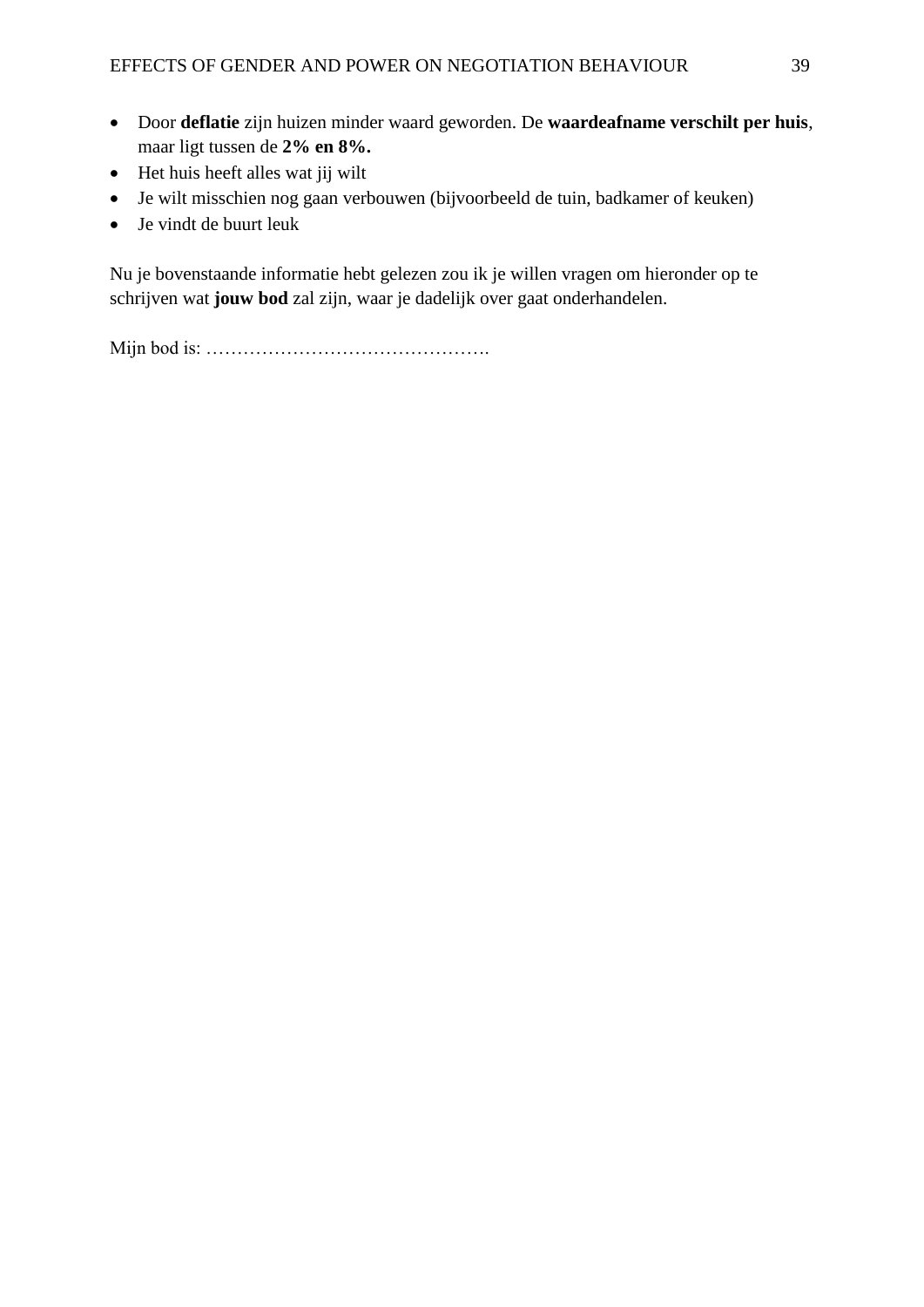- Door **deflatie** zijn huizen minder waard geworden. De **waardeafname verschilt per huis**, maar ligt tussen de **2% en 8%.**
- Het huis heeft alles wat jij wilt
- Je wilt misschien nog gaan verbouwen (bijvoorbeeld de tuin, badkamer of keuken)
- Je vindt de buurt leuk

Nu je bovenstaande informatie hebt gelezen zou ik je willen vragen om hieronder op te schrijven wat **jouw bod** zal zijn, waar je dadelijk over gaat onderhandelen.

Mijn bod is: ……………………………………….